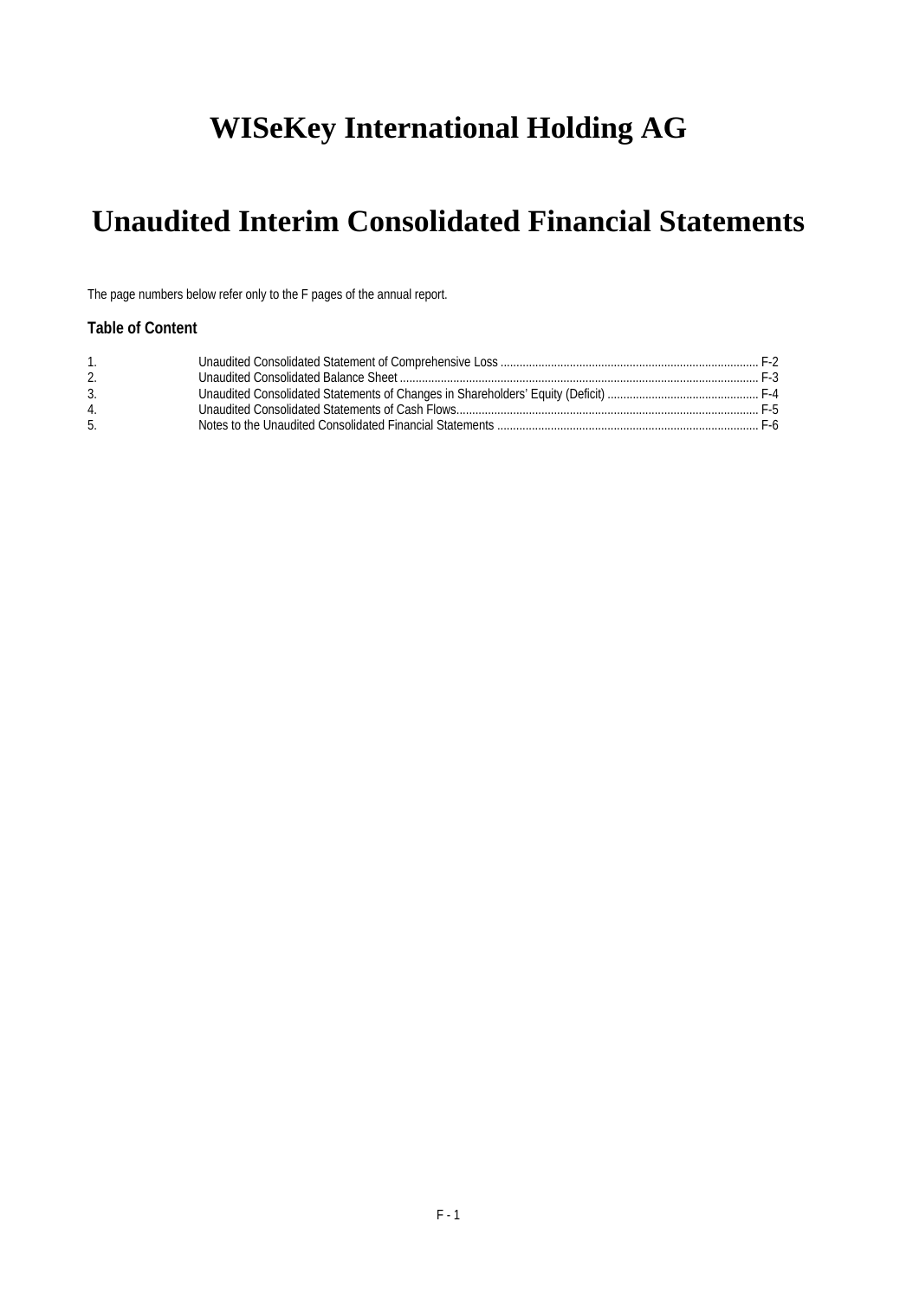# **WISeKey International Holding AG**

# **Unaudited Interim Consolidated Financial Statements**

The page numbers below refer only to the F pages of the annual report.

## **Table of Content**

| 2.             |  |
|----------------|--|
| 3.             |  |
| $\overline{4}$ |  |
| -5.            |  |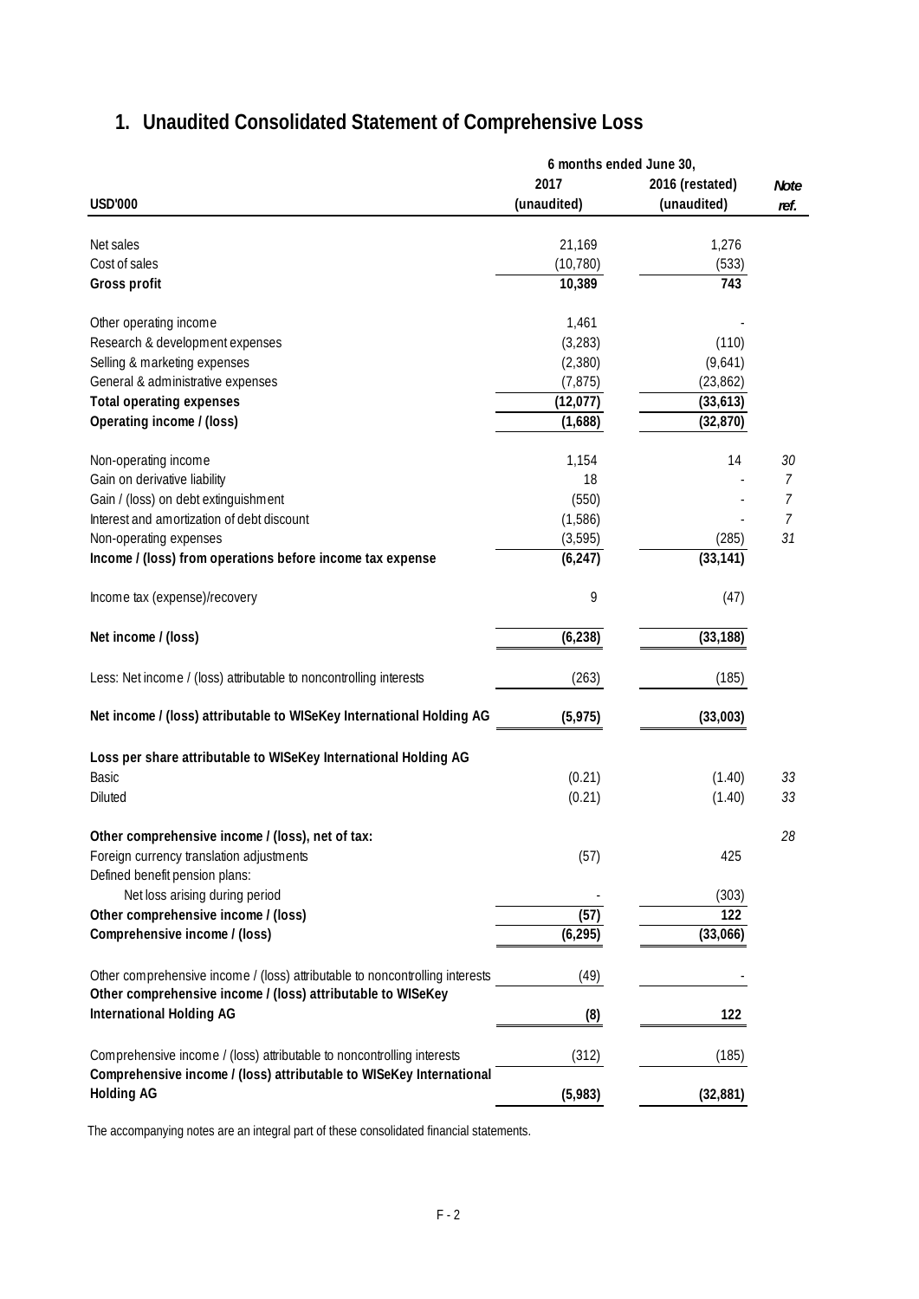## **USD'000 2017 (unaudited) 2016 (restated) (unaudited)** Net sales 21,169 1,276 Cost of sales (10,780) (533) **Gross profit** 10,389 **143** Other operating income 1,461 Research & development expenses (3,283) (110) Selling & marketing expenses (2,380) (9,641) General & administrative expenses (7,875) (23,862) Total operating expenses and the set of the set of the set of the set of the set of the set of the set of the set of the set of the set of the set of the set of the set of the set of the set of the set of the set of the se **Operating income / (loss)** (32,870) (32,870) Non-operating income 1,154 14 *30* Gain on derivative liability **18** and the set of the set of the set of the set of the set of the set of the set of the set of the set of the set of the set of the set of the set of the set of the set of the set of the set Gain / (loss) on debt extinguishment  $\overline{7}$ Interest and amortization of debt discount and the control of the control of the control of the control of the control of the control of the control of the control of the control of the control of the control of the contro Non-operating expenses (3,595) (285) *31* **Income / (loss) from operations before income tax expense (6,247) (33,141)** (33,141) Income tax (expense)/recovery expense of the state of the state of the state of the state of the state of the state of the state of the state of the state of the state of the state of the state of the state of the state of **Net income / (loss) (6,238) (33,188)** Less: Net income / (loss) attributable to noncontrolling interests (263) (185) **Net income / (loss) attributable to WISeKey International Holding AG (5,975) (33,003) Loss per share attributable to WISeKey International Holding AG** Basic (0.21) (1.40) *33* Diluted (0.21) (1.40) *33* **Other comprehensive income / (loss), net of tax:** *28* Foreign currency translation adjustments (57) 425 Defined benefit pension plans: Net loss arising during period (303) Other comprehensive income / (loss) (57) 122 **Comprehensive income / (loss) (6,295) (33,066)** Other comprehensive income / (loss) attributable to noncontrolling interests (49) **Other comprehensive income / (loss) attributable to WISeKey International Holding AG (8) 122** Comprehensive income / (loss) attributable to noncontrolling interests (312) (185) **Comprehensive income / (loss) attributable to WISeKey International Holding AG (5,983) (32,881) 6 months ended June 30,** *Note ref.*

## **1. Unaudited Consolidated Statement of Comprehensive Loss**

The accompanying notes are an integral part of these consolidated financial statements.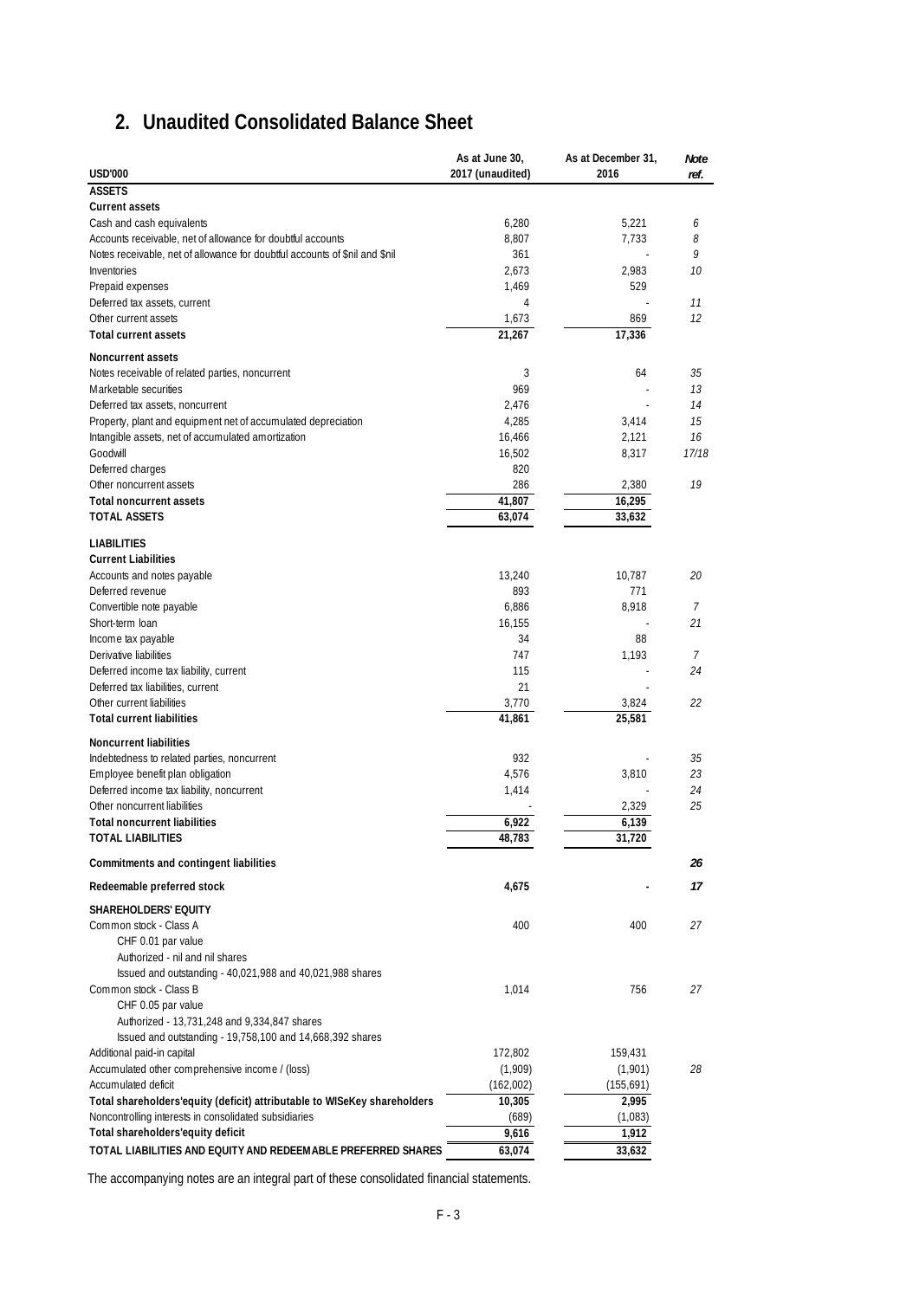## **2. Unaudited Consolidated Balance Sheet**

|                                                                             | As at June 30,          | As at December 31, | Note  |
|-----------------------------------------------------------------------------|-------------------------|--------------------|-------|
| <b>USD'000</b>                                                              | 2017 (unaudited)        | 2016               | ref.  |
| <b>ASSETS</b>                                                               |                         |                    |       |
| <b>Current assets</b>                                                       |                         |                    |       |
| Cash and cash equivalents                                                   | 6,280                   | 5,221              | 6     |
| Accounts receivable, net of allowance for doubtful accounts                 | 8,807                   | 7,733              | 8     |
| Notes receivable, net of allowance for doubtful accounts of \$nil and \$nil | 361                     |                    | 9     |
| Inventories                                                                 | 2,673                   | 2,983              | 10    |
| Prepaid expenses<br>Deferred tax assets, current                            | 1,469<br>$\overline{4}$ | 529                | 11    |
| Other current assets                                                        |                         | 869                | 12    |
| <b>Total current assets</b>                                                 | 1,673<br>21,267         | 17,336             |       |
|                                                                             |                         |                    |       |
| <b>Noncurrent assets</b>                                                    |                         |                    |       |
| Notes receivable of related parties, noncurrent                             | 3                       | 64                 | 35    |
| Marketable securities                                                       | 969                     |                    | 13    |
| Deferred tax assets, noncurrent                                             | 2,476                   |                    | 14    |
| Property, plant and equipment net of accumulated depreciation               | 4,285                   | 3,414              | 15    |
| Intangible assets, net of accumulated amortization                          | 16,466                  | 2,121              | 16    |
| Goodwill                                                                    | 16,502                  | 8,317              | 17/18 |
| Deferred charges                                                            | 820                     |                    |       |
| Other noncurrent assets                                                     | 286                     | 2,380              | 19    |
| <b>Total noncurrent assets</b>                                              | 41,807                  | 16,295             |       |
| <b>TOTAL ASSETS</b>                                                         | 63,074                  | 33,632             |       |
| <b>LIABILITIES</b>                                                          |                         |                    |       |
| <b>Current Liabilities</b>                                                  |                         |                    |       |
| Accounts and notes payable                                                  | 13,240                  | 10.787             | 20    |
| Deferred revenue                                                            | 893                     | 771                |       |
| Convertible note payable                                                    | 6,886                   | 8,918              | 7     |
| Short-term loan                                                             | 16,155                  |                    | 21    |
| Income tax payable                                                          | 34                      | 88                 |       |
| Derivative liabilities                                                      | 747                     | 1,193              | 7     |
| Deferred income tax liability, current                                      | 115                     |                    | 24    |
| Deferred tax liabilities, current                                           | 21                      |                    |       |
| Other current liabilities                                                   | 3,770                   | 3,824              | 22    |
| <b>Total current liabilities</b>                                            | 41,861                  | 25,581             |       |
| <b>Noncurrent liabilities</b>                                               |                         |                    |       |
| Indebtedness to related parties, noncurrent                                 | 932                     |                    | 35    |
| Employee benefit plan obligation                                            | 4,576                   | 3,810              | 23    |
| Deferred income tax liability, noncurrent                                   | 1,414                   |                    | 24    |
| Other noncurrent liabilities                                                |                         | 2,329              | 25    |
| <b>Total noncurrent liabilities</b>                                         | 6,922                   | 6,139              |       |
| TOTAL LIABILITIES                                                           | 48,783                  | 31,720             |       |
| Commitments and contingent liabilities                                      |                         |                    | 26    |
| Redeemable preferred stock                                                  | 4,675                   |                    | 17    |
|                                                                             |                         |                    |       |
| <b>SHAREHOLDERS' EQUITY</b>                                                 |                         |                    |       |
| Common stock - Class A                                                      | 400                     | 400                | 27    |
| CHF 0.01 par value<br>Authorized - nil and nil shares                       |                         |                    |       |
| Issued and outstanding - 40,021,988 and 40,021,988 shares                   |                         |                    |       |
| Common stock - Class B                                                      | 1,014                   | 756                | 27    |
| CHF 0.05 par value                                                          |                         |                    |       |
| Authorized - 13,731,248 and 9,334,847 shares                                |                         |                    |       |
| Issued and outstanding - 19,758,100 and 14,668,392 shares                   |                         |                    |       |
| Additional paid-in capital                                                  | 172,802                 | 159,431            |       |
| Accumulated other comprehensive income / (loss)                             | (1,909)                 | (1,901)            | 28    |
| Accumulated deficit                                                         | (162,002)               | (155,691)          |       |
| Total shareholders' equity (deficit) attributable to WISeKey shareholders   | 10,305                  | 2,995              |       |
| Noncontrolling interests in consolidated subsidiaries                       | (689)                   | (1,083)            |       |
| Total shareholders'equity deficit                                           | 9,616                   | 1,912              |       |
| TOTAL LIABILITIES AND EQUITY AND REDEEMABLE PREFERRED SHARES                | 63,074                  | 33,632             |       |
|                                                                             |                         |                    |       |

The accompanying notes are an integral part of these consolidated financial statements.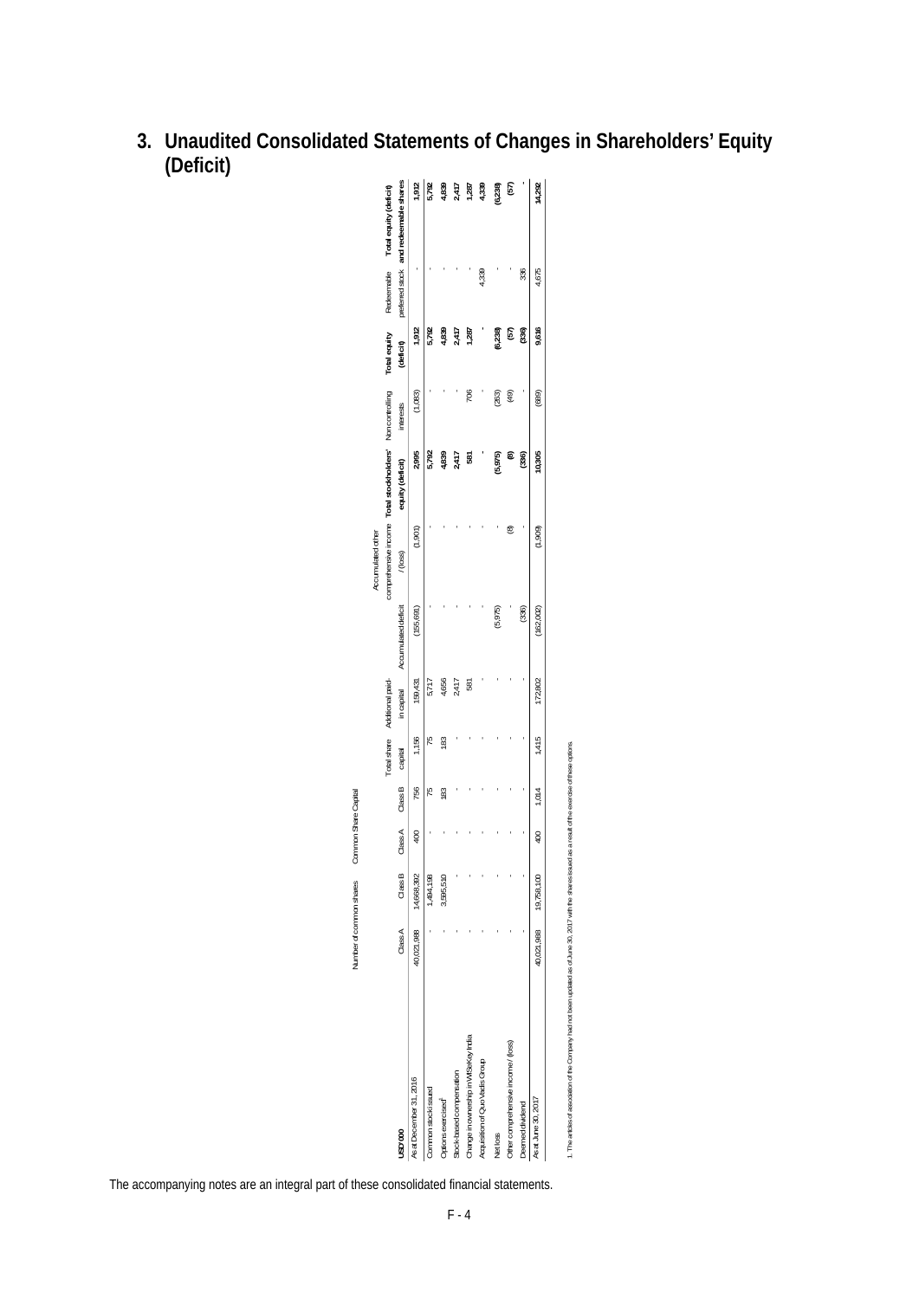| 3. Unaudited Consolidated Statements of Changes in Shareholders' Equity |
|-------------------------------------------------------------------------|
| (Deficit)                                                               |

|                               | 1,912                                                                                                                                                  | 5,792                         |                                |       |       | 4,339                                      | (6,238)                                       | (57)                                |                 | 14,292                                                                                  |
|-------------------------------|--------------------------------------------------------------------------------------------------------------------------------------------------------|-------------------------------|--------------------------------|-------|-------|--------------------------------------------|-----------------------------------------------|-------------------------------------|-----------------|-----------------------------------------------------------------------------------------|
| Redeemable<br>preferred stock |                                                                                                                                                        |                               |                                |       |       | 4,339                                      |                                               |                                     | 336             | 4,675                                                                                   |
| Total equity                  | 1,912                                                                                                                                                  | 5,792                         | 4,839                          |       | 1,287 |                                            | (6,238)                                       | (57)                                | (336)           | 9,616                                                                                   |
| interests                     | (1,083)                                                                                                                                                |                               |                                |       | 706   |                                            | (263)                                         | (49)                                |                 | (689)                                                                                   |
|                               | 2,995                                                                                                                                                  | 5,792                         | 4,839                          | 2,417 | 581   |                                            | (5,975)                                       | ම                                   | (336)           | 10,305                                                                                  |
| Accumulated other<br>/(loss)  | (1,901)                                                                                                                                                |                               |                                |       |       |                                            |                                               | ම                                   |                 | (1,909)                                                                                 |
|                               | (155, 691)                                                                                                                                             |                               |                                |       |       |                                            | (5,975)                                       |                                     | (336)           | (162,002)                                                                               |
| in capital                    | 159,431                                                                                                                                                | 5,717                         | 4,656                          | 2,417 | 587   |                                            |                                               |                                     |                 | 172,802                                                                                 |
| Total share<br>capital        | 1,156                                                                                                                                                  | 15                            | 183                            |       |       |                                            |                                               |                                     |                 | 1,415                                                                                   |
| Class B                       | 756                                                                                                                                                    | 15                            | 183                            |       |       |                                            |                                               |                                     |                 | 1,014                                                                                   |
| Class A                       | 400                                                                                                                                                    |                               |                                |       |       |                                            |                                               |                                     |                 | 400                                                                                     |
| Class B                       | 14,668,392                                                                                                                                             | 1,494,198                     | 3,595,510                      |       |       |                                            |                                               |                                     |                 | 19,758,100                                                                              |
| Class A                       | 40,021,988                                                                                                                                             |                               |                                |       |       |                                            |                                               |                                     |                 | 40,021,988                                                                              |
| USD'000                       | As at December 31, 2016                                                                                                                                | Common stock issued           | Options exercised <sup>1</sup> |       |       | Acquisition of Quo Vadis Group             | Net loss                                      | Other comprehensive income / (loss) | Deemed dividend | As at June 30, 2017                                                                     |
|                               | and redeemable shares<br>Total equity (deficit)<br>comprehensive income Total stockholders' Non controlling<br>Accumulated deficit<br>Additional paid- | (deficit)<br>equity (deficit) |                                |       | 4,839 | 2,417<br>2,417<br>Stock-based compensation | 1,287<br>Change in ownership in WISeKey India |                                     |                 | The accompanying notes are an integral part of these consolidated financial statements. |

1. The articles of association of the Company had not been updated as of June 30, 2017 with the shares issued as a result of the exercise of these options.

1. The articles of association of the Company had not been updated as of June 30, 2017 with the share's issued as a result of the exercise of these options.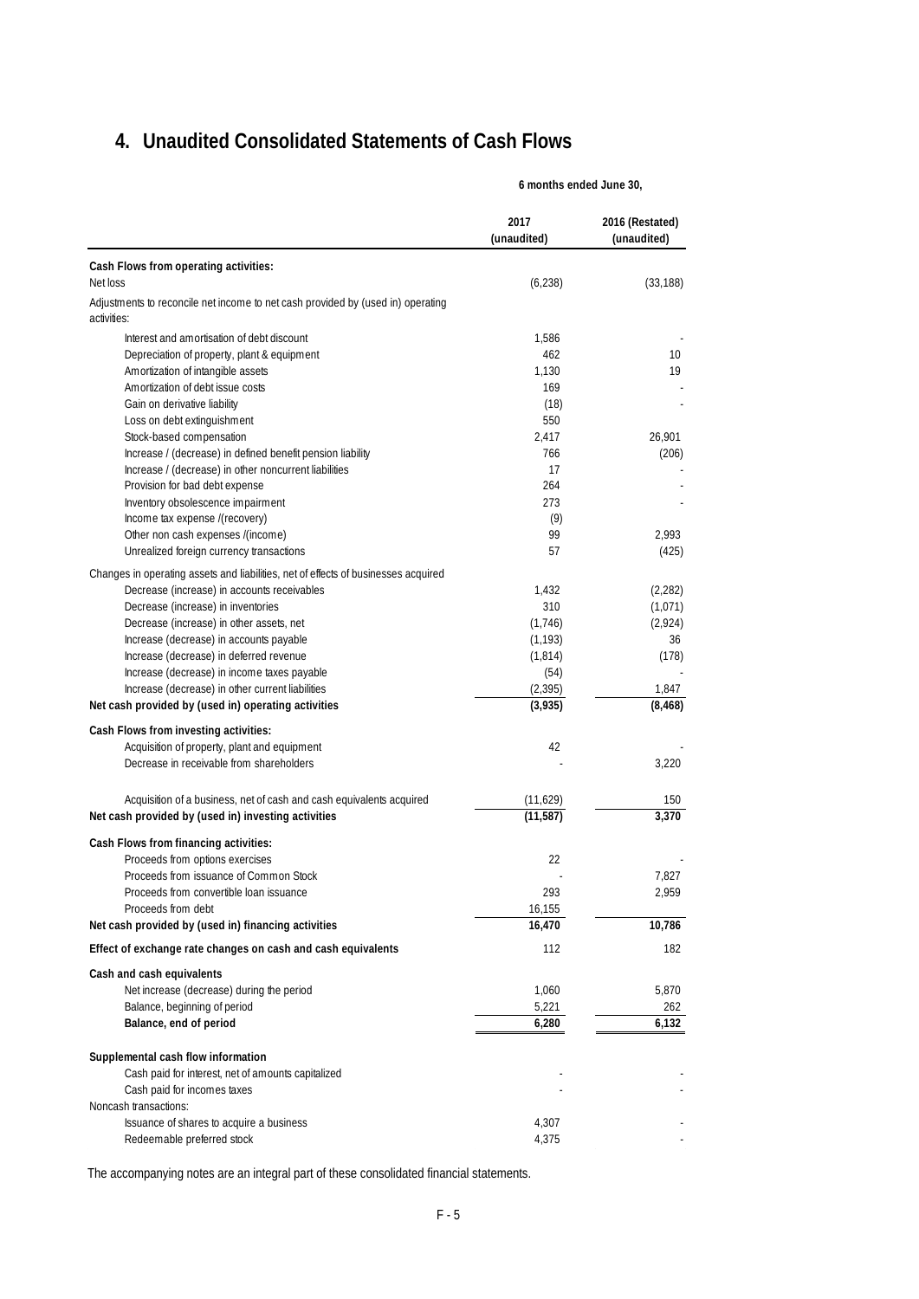## **4. Unaudited Consolidated Statements of Cash Flows**

|                                                                                                | 2017<br>(unaudited) | 2016 (Restated)<br>(unaudited) |
|------------------------------------------------------------------------------------------------|---------------------|--------------------------------|
| Cash Flows from operating activities:                                                          |                     |                                |
| Net loss                                                                                       | (6, 238)            | (33, 188)                      |
| Adjustments to reconcile net income to net cash provided by (used in) operating<br>activities: |                     |                                |
| Interest and amortisation of debt discount                                                     | 1,586               |                                |
| Depreciation of property, plant & equipment                                                    | 462                 | 10 <sup>°</sup>                |
| Amortization of intangible assets                                                              | 1.130               | 19                             |
| Amortization of debt issue costs                                                               | 169                 |                                |
| Gain on derivative liability                                                                   | (18)                |                                |
| Loss on debt extinguishment                                                                    | 550                 |                                |
| Stock-based compensation                                                                       | 2,417               | 26,901                         |
| Increase / (decrease) in defined benefit pension liability                                     | 766                 | (206)                          |
| Increase / (decrease) in other noncurrent liabilities                                          | 17                  |                                |
| Provision for bad debt expense                                                                 | 264                 |                                |
| Inventory obsolescence impairment                                                              | 273                 |                                |
| Income tax expense /(recovery)                                                                 | (9)                 |                                |
| Other non cash expenses /(income)                                                              | 99                  | 2,993                          |
| Unrealized foreign currency transactions                                                       | 57                  | (425)                          |
| Changes in operating assets and liabilities, net of effects of businesses acquired             |                     |                                |
| Decrease (increase) in accounts receivables                                                    | 1.432               | (2, 282)                       |
| Decrease (increase) in inventories                                                             | 310                 | (1,071)                        |
| Decrease (increase) in other assets, net                                                       | (1,746)             | (2,924)                        |
| Increase (decrease) in accounts payable                                                        | (1, 193)            | 36                             |
| Increase (decrease) in deferred revenue                                                        | (1,814)             | (178)                          |
| Increase (decrease) in income taxes payable                                                    | (54)                |                                |
| Increase (decrease) in other current liabilities                                               | (2, 395)            | 1,847                          |
| Net cash provided by (used in) operating activities                                            | (3,935)             | (8, 468)                       |
| Cash Flows from investing activities:                                                          |                     |                                |
| Acquisition of property, plant and equipment                                                   | 42                  |                                |
| Decrease in receivable from shareholders                                                       |                     | 3,220                          |
| Acquisition of a business, net of cash and cash equivalents acquired                           | (11,629)            | 150                            |
| Net cash provided by (used in) investing activities                                            | (11, 587)           | 3,370                          |
| Cash Flows from financing activities:                                                          |                     |                                |
| Proceeds from options exercises                                                                | 22                  |                                |
| Proceeds from issuance of Common Stock                                                         |                     | 7,827                          |
| Proceeds from convertible loan issuance                                                        | 293                 | 2,959                          |
| Proceeds from debt                                                                             | 16,155              |                                |
| Net cash provided by (used in) financing activities                                            | 16,470              | 10,786                         |
| Effect of exchange rate changes on cash and cash equivalents                                   | 112                 | 182                            |
| Cash and cash equivalents                                                                      |                     |                                |
| Net increase (decrease) during the period                                                      | 1,060               | 5,870                          |
| Balance, beginning of period                                                                   | 5,221               | 262                            |
| Balance, end of period                                                                         | 6,280               | 6,132                          |
| Supplemental cash flow information                                                             |                     |                                |
| Cash paid for interest, net of amounts capitalized                                             |                     |                                |
| Cash paid for incomes taxes                                                                    |                     |                                |
| Noncash transactions:                                                                          |                     |                                |
| Issuance of shares to acquire a business                                                       | 4,307               |                                |
| Redeemable preferred stock                                                                     | 4,375               |                                |

**6 months ended June 30,**

The accompanying notes are an integral part of these consolidated financial statements.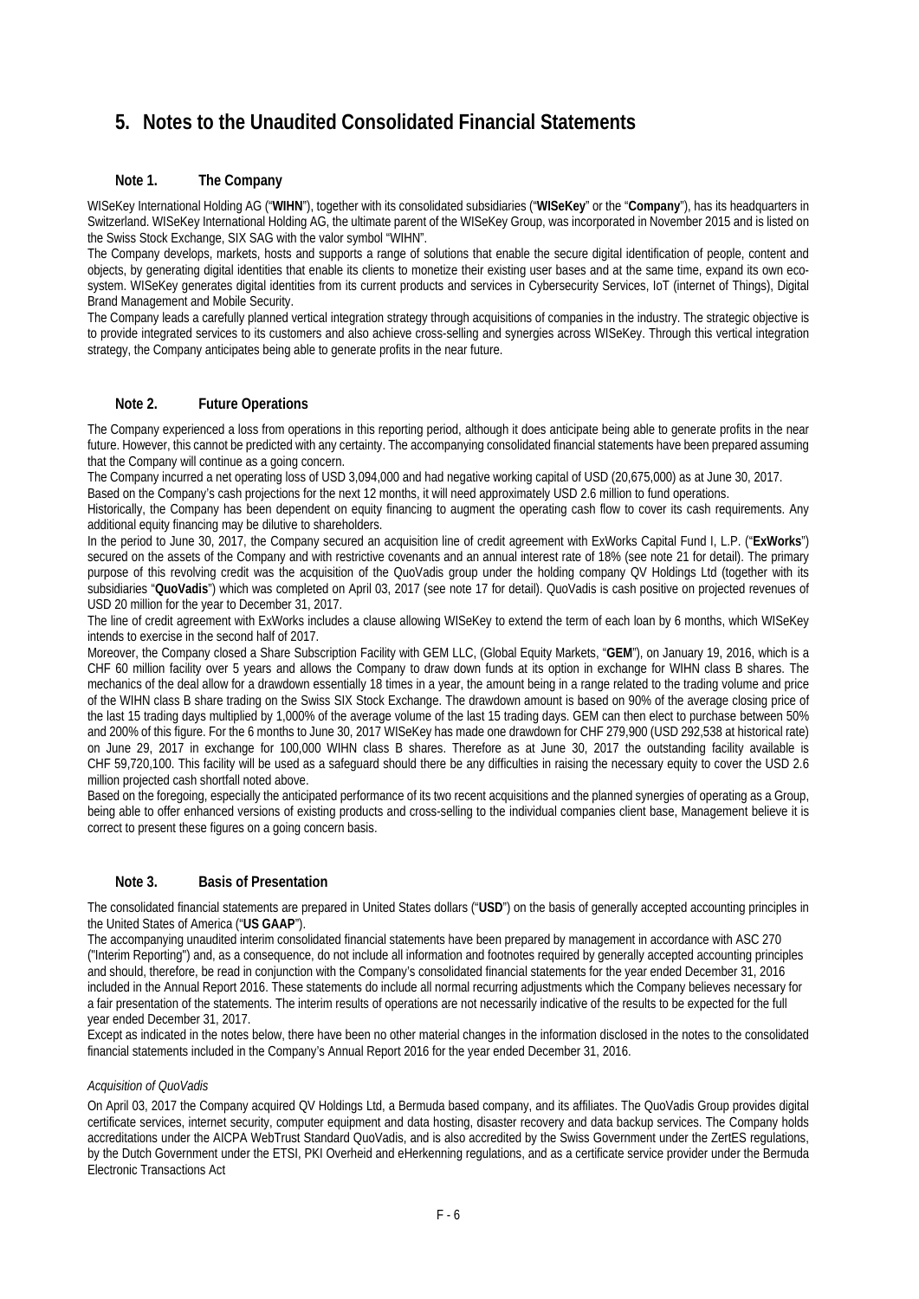## **5. Notes to the Unaudited Consolidated Financial Statements**

#### **Note 1. The Company**

WISeKey International Holding AG ("**WIHN**"), together with its consolidated subsidiaries ("**WISeKey**" or the "**Company**"), has its headquarters in Switzerland. WISeKey International Holding AG, the ultimate parent of the WISeKey Group, was incorporated in November 2015 and is listed on the Swiss Stock Exchange, SIX SAG with the valor symbol "WIHN".

The Company develops, markets, hosts and supports a range of solutions that enable the secure digital identification of people, content and objects, by generating digital identities that enable its clients to monetize their existing user bases and at the same time, expand its own ecosystem. WISeKey generates digital identities from its current products and services in Cybersecurity Services, IoT (internet of Things), Digital Brand Management and Mobile Security.

The Company leads a carefully planned vertical integration strategy through acquisitions of companies in the industry. The strategic objective is to provide integrated services to its customers and also achieve cross-selling and synergies across WISeKey. Through this vertical integration strategy, the Company anticipates being able to generate profits in the near future.

#### **Note 2. Future Operations**

The Company experienced a loss from operations in this reporting period, although it does anticipate being able to generate profits in the near future. However, this cannot be predicted with any certainty. The accompanying consolidated financial statements have been prepared assuming that the Company will continue as a going concern.

The Company incurred a net operating loss of USD 3,094,000 and had negative working capital of USD (20,675,000) as at June 30, 2017.

Based on the Company's cash projections for the next 12 months, it will need approximately USD 2.6 million to fund operations.

Historically, the Company has been dependent on equity financing to augment the operating cash flow to cover its cash requirements. Any additional equity financing may be dilutive to shareholders.

In the period to June 30, 2017, the Company secured an acquisition line of credit agreement with ExWorks Capital Fund I, L.P. ("**ExWorks**") secured on the assets of the Company and with restrictive covenants and an annual interest rate of 18% (see note 21 for detail). The primary purpose of this revolving credit was the acquisition of the QuoVadis group under the holding company QV Holdings Ltd (together with its subsidiaries "**QuoVadis**") which was completed on April 03, 2017 (see note 17 for detail). QuoVadis is cash positive on projected revenues of USD 20 million for the year to December 31, 2017.

The line of credit agreement with ExWorks includes a clause allowing WISeKey to extend the term of each loan by 6 months, which WISeKey intends to exercise in the second half of 2017.

Moreover, the Company closed a Share Subscription Facility with GEM LLC, (Global Equity Markets, "**GEM**"), on January 19, 2016, which is a CHF 60 million facility over 5 years and allows the Company to draw down funds at its option in exchange for WIHN class B shares. The mechanics of the deal allow for a drawdown essentially 18 times in a year, the amount being in a range related to the trading volume and price of the WIHN class B share trading on the Swiss SIX Stock Exchange. The drawdown amount is based on 90% of the average closing price of the last 15 trading days multiplied by 1,000% of the average volume of the last 15 trading days. GEM can then elect to purchase between 50% and 200% of this figure. For the 6 months to June 30, 2017 WISeKey has made one drawdown for CHF 279,900 (USD 292,538 at historical rate) on June 29, 2017 in exchange for 100,000 WIHN class B shares. Therefore as at June 30, 2017 the outstanding facility available is CHF 59,720,100. This facility will be used as a safeguard should there be any difficulties in raising the necessary equity to cover the USD 2.6 million projected cash shortfall noted above.

Based on the foregoing, especially the anticipated performance of its two recent acquisitions and the planned synergies of operating as a Group, being able to offer enhanced versions of existing products and cross-selling to the individual companies client base, Management believe it is correct to present these figures on a going concern basis.

#### **Note 3. Basis of Presentation**

The consolidated financial statements are prepared in United States dollars ("**USD**") on the basis of generally accepted accounting principles in the United States of America ("**US GAAP**").

The accompanying unaudited interim consolidated financial statements have been prepared by management in accordance with ASC 270 ("Interim Reporting") and, as a consequence, do not include all information and footnotes required by generally accepted accounting principles and should, therefore, be read in conjunction with the Company's consolidated financial statements for the year ended December 31, 2016 included in the Annual Report 2016. These statements do include all normal recurring adjustments which the Company believes necessary for a fair presentation of the statements. The interim results of operations are not necessarily indicative of the results to be expected for the full year ended December 31, 2017.

Except as indicated in the notes below, there have been no other material changes in the information disclosed in the notes to the consolidated financial statements included in the Company's Annual Report 2016 for the year ended December 31, 2016.

#### *Acquisition of QuoVadis*

On April 03, 2017 the Company acquired QV Holdings Ltd, a Bermuda based company, and its affiliates. The QuoVadis Group provides digital certificate services, internet security, computer equipment and data hosting, disaster recovery and data backup services. The Company holds accreditations under the AICPA WebTrust Standard QuoVadis, and is also accredited by the Swiss Government under the ZertES regulations, by the Dutch Government under the ETSI, PKI Overheid and eHerkenning regulations, and as a certificate service provider under the Bermuda Electronic Transactions Act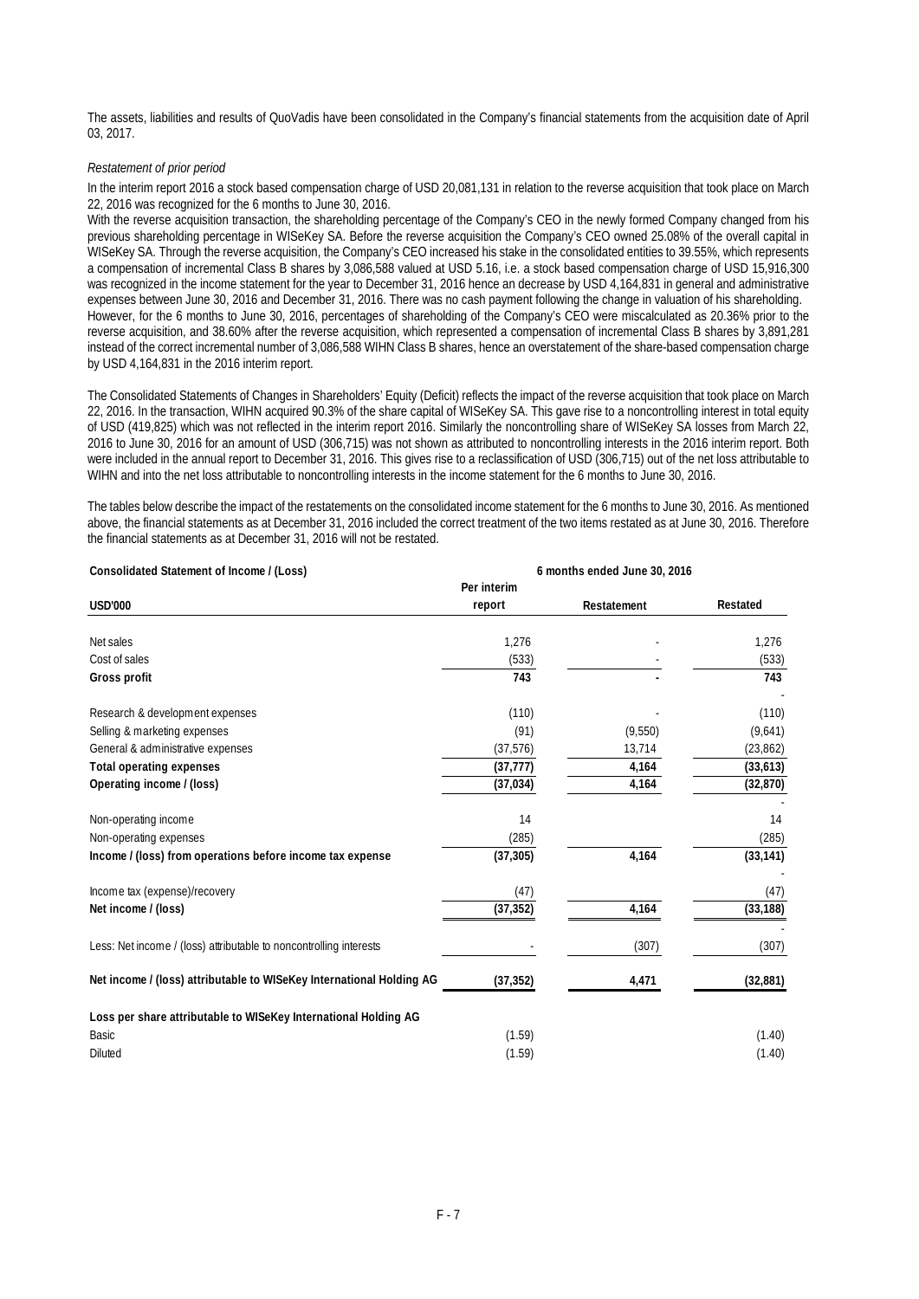The assets, liabilities and results of QuoVadis have been consolidated in the Company's financial statements from the acquisition date of April 03, 2017.

#### *Restatement of prior period*

In the interim report 2016 a stock based compensation charge of USD 20,081,131 in relation to the reverse acquisition that took place on March 22, 2016 was recognized for the 6 months to June 30, 2016.

With the reverse acquisition transaction, the shareholding percentage of the Company's CEO in the newly formed Company changed from his previous shareholding percentage in WISeKey SA. Before the reverse acquisition the Company's CEO owned 25.08% of the overall capital in WISeKey SA. Through the reverse acquisition, the Company's CEO increased his stake in the consolidated entities to 39.55%, which represents a compensation of incremental Class B shares by 3,086,588 valued at USD 5.16, i.e. a stock based compensation charge of USD 15,916,300 was recognized in the income statement for the year to December 31, 2016 hence an decrease by USD 4,164,831 in general and administrative expenses between June 30, 2016 and December 31, 2016. There was no cash payment following the change in valuation of his shareholding. However, for the 6 months to June 30, 2016, percentages of shareholding of the Company's CEO were miscalculated as 20.36% prior to the reverse acquisition, and 38.60% after the reverse acquisition, which represented a compensation of incremental Class B shares by 3,891,281 instead of the correct incremental number of 3,086,588 WIHN Class B shares, hence an overstatement of the share-based compensation charge by USD 4,164,831 in the 2016 interim report.

The Consolidated Statements of Changes in Shareholders' Equity (Deficit) reflects the impact of the reverse acquisition that took place on March 22, 2016. In the transaction, WIHN acquired 90.3% of the share capital of WISeKey SA. This gave rise to a noncontrolling interest in total equity of USD (419,825) which was not reflected in the interim report 2016. Similarly the noncontrolling share of WISeKey SA losses from March 22, 2016 to June 30, 2016 for an amount of USD (306,715) was not shown as attributed to noncontrolling interests in the 2016 interim report. Both were included in the annual report to December 31, 2016. This gives rise to a reclassification of USD (306,715) out of the net loss attributable to WIHN and into the net loss attributable to noncontrolling interests in the income statement for the 6 months to June 30, 2016.

The tables below describe the impact of the restatements on the consolidated income statement for the 6 months to June 30, 2016. As mentioned above, the financial statements as at December 31, 2016 included the correct treatment of the two items restated as at June 30, 2016. Therefore the financial statements as at December 31, 2016 will not be restated.

| Consolidated Statement of Income / (Loss)                            | 6 months ended June 30, 2016 |             |           |  |  |
|----------------------------------------------------------------------|------------------------------|-------------|-----------|--|--|
|                                                                      | Per interim                  |             |           |  |  |
| <b>USD'000</b>                                                       | report                       | Restatement | Restated  |  |  |
| Net sales                                                            | 1,276                        |             | 1,276     |  |  |
| Cost of sales                                                        | (533)                        |             | (533)     |  |  |
| Gross profit                                                         | 743                          |             | 743       |  |  |
| Research & development expenses                                      | (110)                        |             | (110)     |  |  |
| Selling & marketing expenses                                         | (91)                         | (9,550)     | (9,641)   |  |  |
| General & administrative expenses                                    | (37, 576)                    | 13,714      | (23, 862) |  |  |
| <b>Total operating expenses</b>                                      | (37, 777)                    | 4,164       | (33, 613) |  |  |
| Operating income / (loss)                                            | (37, 034)                    | 4,164       | (32, 870) |  |  |
| Non-operating income                                                 | 14                           |             | 14        |  |  |
| Non-operating expenses                                               | (285)                        |             | (285)     |  |  |
| Income / (loss) from operations before income tax expense            | (37, 305)                    | 4,164       | (33, 141) |  |  |
| Income tax (expense)/recovery                                        | (47)                         |             | (47)      |  |  |
| Net income / (loss)                                                  | (37, 352)                    | 4,164       | (33, 188) |  |  |
| Less: Net income / (loss) attributable to noncontrolling interests   |                              | (307)       | (307)     |  |  |
| Net income / (loss) attributable to WISeKey International Holding AG | (37, 352)                    | 4,471       | (32,881)  |  |  |
| Loss per share attributable to WISeKey International Holding AG      |                              |             |           |  |  |
| Basic                                                                | (1.59)                       |             | (1.40)    |  |  |
| <b>Diluted</b>                                                       | (1.59)                       |             | (1.40)    |  |  |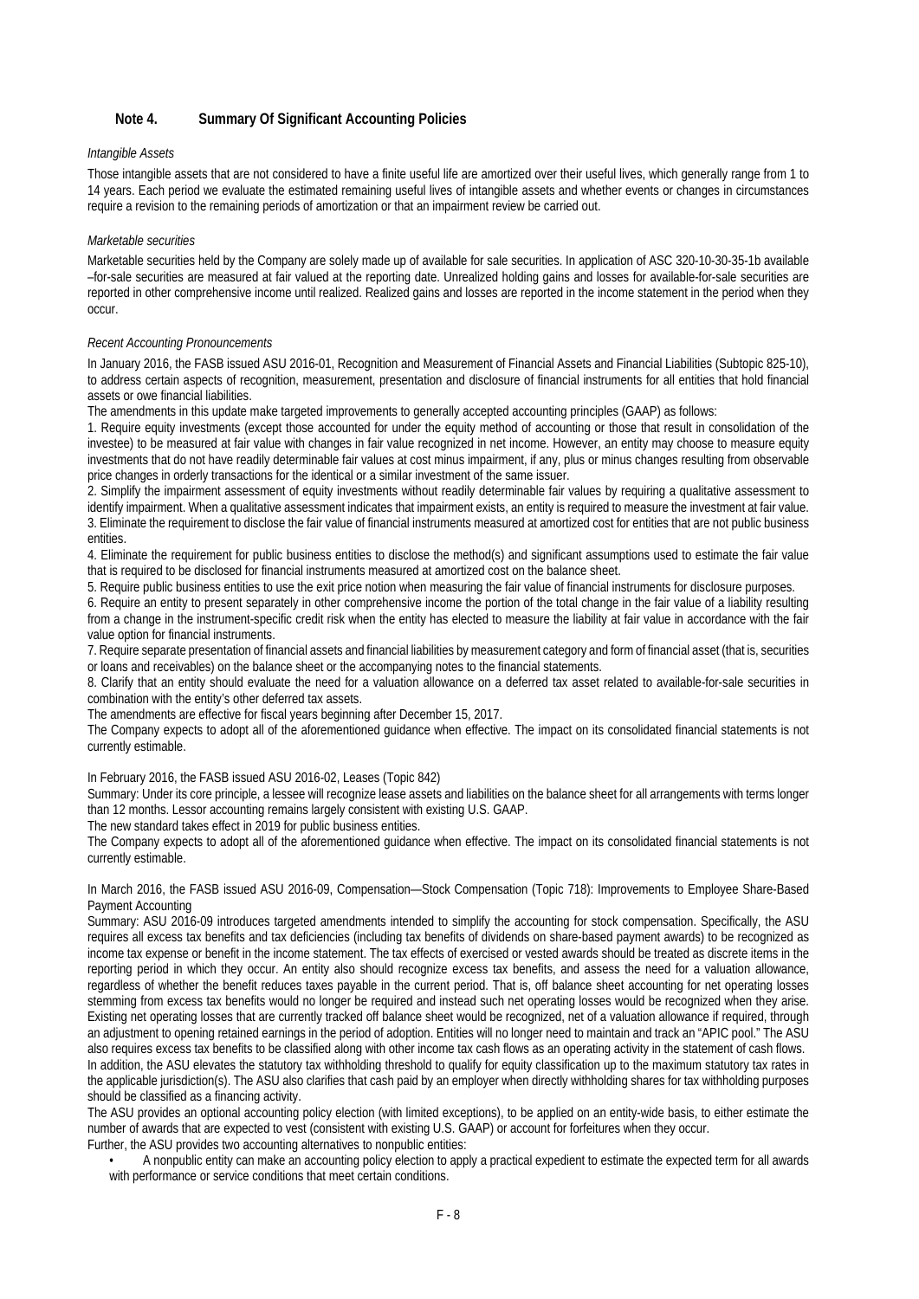#### **Note 4. Summary Of Significant Accounting Policies**

#### *Intangible Assets*

Those intangible assets that are not considered to have a finite useful life are amortized over their useful lives, which generally range from 1 to 14 years. Each period we evaluate the estimated remaining useful lives of intangible assets and whether events or changes in circumstances require a revision to the remaining periods of amortization or that an impairment review be carried out.

#### *Marketable securities*

Marketable securities held by the Company are solely made up of available for sale securities. In application of ASC 320-10-30-35-1b available –for-sale securities are measured at fair valued at the reporting date. Unrealized holding gains and losses for available-for-sale securities are reported in other comprehensive income until realized. Realized gains and losses are reported in the income statement in the period when they occur.

#### *Recent Accounting Pronouncements*

In January 2016, the FASB issued ASU 2016-01, Recognition and Measurement of Financial Assets and Financial Liabilities (Subtopic 825-10), to address certain aspects of recognition, measurement, presentation and disclosure of financial instruments for all entities that hold financial assets or owe financial liabilities.

The amendments in this update make targeted improvements to generally accepted accounting principles (GAAP) as follows:

1. Require equity investments (except those accounted for under the equity method of accounting or those that result in consolidation of the investee) to be measured at fair value with changes in fair value recognized in net income. However, an entity may choose to measure equity investments that do not have readily determinable fair values at cost minus impairment, if any, plus or minus changes resulting from observable price changes in orderly transactions for the identical or a similar investment of the same issuer.

2. Simplify the impairment assessment of equity investments without readily determinable fair values by requiring a qualitative assessment to identify impairment. When a qualitative assessment indicates that impairment exists, an entity is required to measure the investment at fair value. 3. Eliminate the requirement to disclose the fair value of financial instruments measured at amortized cost for entities that are not public business entities.

4. Eliminate the requirement for public business entities to disclose the method(s) and significant assumptions used to estimate the fair value that is required to be disclosed for financial instruments measured at amortized cost on the balance sheet.

5. Require public business entities to use the exit price notion when measuring the fair value of financial instruments for disclosure purposes.

6. Require an entity to present separately in other comprehensive income the portion of the total change in the fair value of a liability resulting from a change in the instrument-specific credit risk when the entity has elected to measure the liability at fair value in accordance with the fair value option for financial instruments.

7. Require separate presentation of financial assets and financial liabilities by measurement category and form of financial asset (that is, securities or loans and receivables) on the balance sheet or the accompanying notes to the financial statements.

8. Clarify that an entity should evaluate the need for a valuation allowance on a deferred tax asset related to available-for-sale securities in combination with the entity's other deferred tax assets.

The amendments are effective for fiscal years beginning after December 15, 2017.

The Company expects to adopt all of the aforementioned guidance when effective. The impact on its consolidated financial statements is not currently estimable.

In February 2016, the FASB issued ASU 2016-02, Leases (Topic 842)

Summary: Under its core principle, a lessee will recognize lease assets and liabilities on the balance sheet for all arrangements with terms longer than 12 months. Lessor accounting remains largely consistent with existing U.S. GAAP.

The new standard takes effect in 2019 for public business entities.

The Company expects to adopt all of the aforementioned guidance when effective. The impact on its consolidated financial statements is not currently estimable.

In March 2016, the FASB issued ASU 2016-09, Compensation—Stock Compensation (Topic 718): Improvements to Employee Share-Based Payment Accounting

Summary: ASU 2016-09 introduces targeted amendments intended to simplify the accounting for stock compensation. Specifically, the ASU requires all excess tax benefits and tax deficiencies (including tax benefits of dividends on share-based payment awards) to be recognized as income tax expense or benefit in the income statement. The tax effects of exercised or vested awards should be treated as discrete items in the reporting period in which they occur. An entity also should recognize excess tax benefits, and assess the need for a valuation allowance, regardless of whether the benefit reduces taxes payable in the current period. That is, off balance sheet accounting for net operating losses stemming from excess tax benefits would no longer be required and instead such net operating losses would be recognized when they arise. Existing net operating losses that are currently tracked off balance sheet would be recognized, net of a valuation allowance if required, through an adjustment to opening retained earnings in the period of adoption. Entities will no longer need to maintain and track an "APIC pool." The ASU also requires excess tax benefits to be classified along with other income tax cash flows as an operating activity in the statement of cash flows. In addition, the ASU elevates the statutory tax withholding threshold to qualify for equity classification up to the maximum statutory tax rates in the applicable jurisdiction(s). The ASU also clarifies that cash paid by an employer when directly withholding shares for tax withholding purposes should be classified as a financing activity.

The ASU provides an optional accounting policy election (with limited exceptions), to be applied on an entity-wide basis, to either estimate the number of awards that are expected to vest (consistent with existing U.S. GAAP) or account for forfeitures when they occur. Further, the ASU provides two accounting alternatives to nonpublic entities:

• A nonpublic entity can make an accounting policy election to apply a practical expedient to estimate the expected term for all awards with performance or service conditions that meet certain conditions.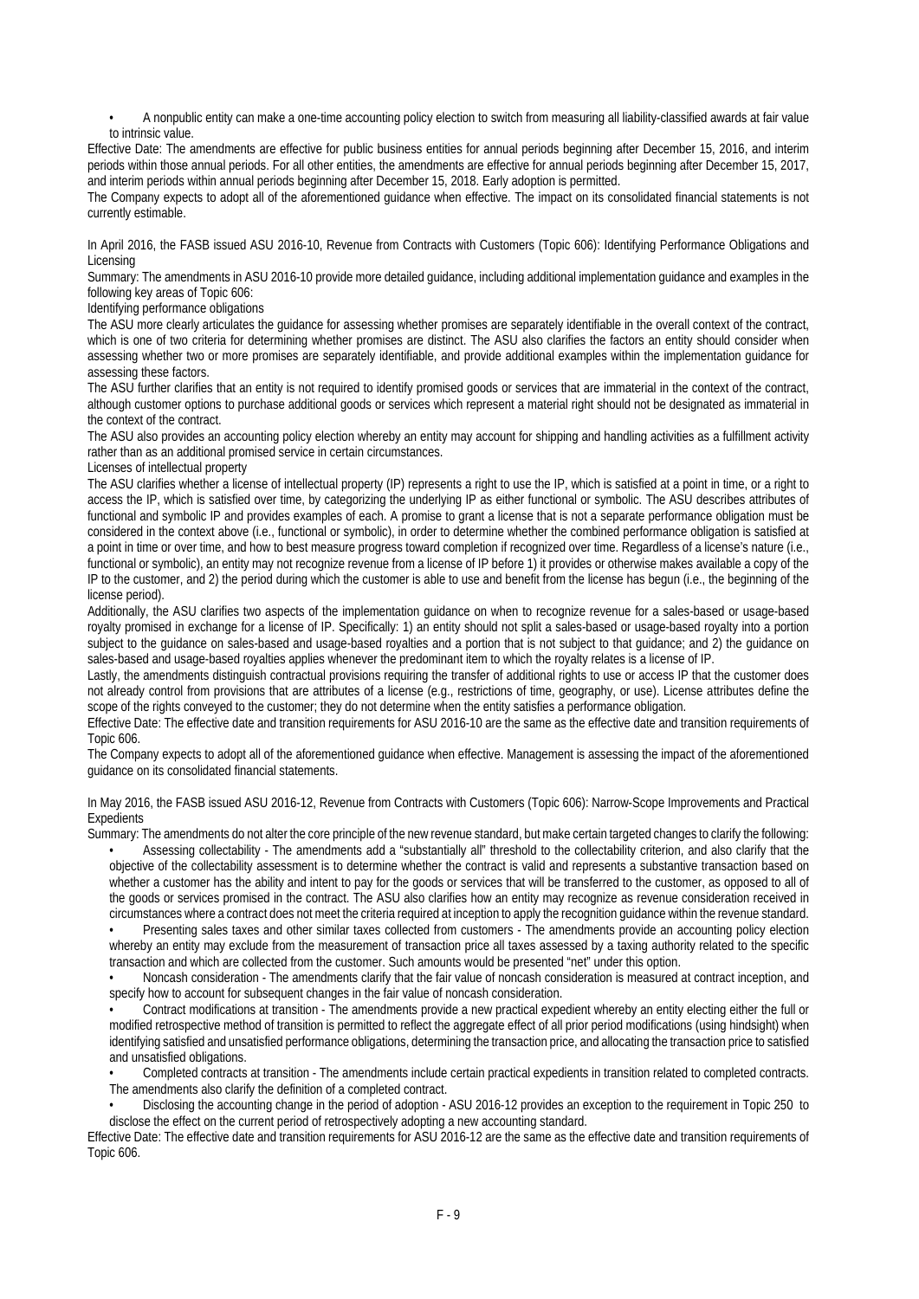• A nonpublic entity can make a one-time accounting policy election to switch from measuring all liability-classified awards at fair value to intrinsic value.

Effective Date: The amendments are effective for public business entities for annual periods beginning after December 15, 2016, and interim periods within those annual periods. For all other entities, the amendments are effective for annual periods beginning after December 15, 2017, and interim periods within annual periods beginning after December 15, 2018. Early adoption is permitted.

The Company expects to adopt all of the aforementioned guidance when effective. The impact on its consolidated financial statements is not currently estimable.

In April 2016, the FASB issued ASU 2016-10, Revenue from Contracts with Customers (Topic 606): Identifying Performance Obligations and Licensing

Summary: The amendments in ASU 2016-10 provide more detailed guidance, including additional implementation guidance and examples in the following key areas of Topic 606:

Identifying performance obligations

The ASU more clearly articulates the guidance for assessing whether promises are separately identifiable in the overall context of the contract, which is one of two criteria for determining whether promises are distinct. The ASU also clarifies the factors an entity should consider when assessing whether two or more promises are separately identifiable, and provide additional examples within the implementation guidance for assessing these factors.

The ASU further clarifies that an entity is not required to identify promised goods or services that are immaterial in the context of the contract, although customer options to purchase additional goods or services which represent a material right should not be designated as immaterial in the context of the contract.

The ASU also provides an accounting policy election whereby an entity may account for shipping and handling activities as a fulfillment activity rather than as an additional promised service in certain circumstances.

Licenses of intellectual property

The ASU clarifies whether a license of intellectual property (IP) represents a right to use the IP, which is satisfied at a point in time, or a right to access the IP, which is satisfied over time, by categorizing the underlying IP as either functional or symbolic. The ASU describes attributes of functional and symbolic IP and provides examples of each. A promise to grant a license that is not a separate performance obligation must be considered in the context above (i.e., functional or symbolic), in order to determine whether the combined performance obligation is satisfied at a point in time or over time, and how to best measure progress toward completion if recognized over time. Regardless of a license's nature (i.e., functional or symbolic), an entity may not recognize revenue from a license of IP before 1) it provides or otherwise makes available a copy of the IP to the customer, and 2) the period during which the customer is able to use and benefit from the license has begun (i.e., the beginning of the license period).

Additionally, the ASU clarifies two aspects of the implementation guidance on when to recognize revenue for a sales-based or usage-based royalty promised in exchange for a license of IP. Specifically: 1) an entity should not split a sales-based or usage-based royalty into a portion subject to the guidance on sales-based and usage-based royalties and a portion that is not subject to that guidance; and 2) the guidance on sales-based and usage-based royalties applies whenever the predominant item to which the royalty relates is a license of IP.

Lastly, the amendments distinguish contractual provisions requiring the transfer of additional rights to use or access IP that the customer does not already control from provisions that are attributes of a license (e.g., restrictions of time, geography, or use). License attributes define the scope of the rights conveyed to the customer; they do not determine when the entity satisfies a performance obligation.

Effective Date: The effective date and transition requirements for ASU 2016-10 are the same as the effective date and transition requirements of Topic 606.

The Company expects to adopt all of the aforementioned guidance when effective. Management is assessing the impact of the aforementioned guidance on its consolidated financial statements.

In May 2016, the FASB issued ASU 2016-12, Revenue from Contracts with Customers (Topic 606): Narrow-Scope Improvements and Practical Expedients

Summary: The amendments do not alter the core principle of the new revenue standard, but make certain targeted changes to clarify the following:

• Assessing collectability - The amendments add a "substantially all" threshold to the collectability criterion, and also clarify that the objective of the collectability assessment is to determine whether the contract is valid and represents a substantive transaction based on whether a customer has the ability and intent to pay for the goods or services that will be transferred to the customer, as opposed to all of the goods or services promised in the contract. The ASU also clarifies how an entity may recognize as revenue consideration received in circumstances where a contract does not meet the criteria required at inception to apply the recognition guidance within the revenue standard.

• Presenting sales taxes and other similar taxes collected from customers - The amendments provide an accounting policy election whereby an entity may exclude from the measurement of transaction price all taxes assessed by a taxing authority related to the specific transaction and which are collected from the customer. Such amounts would be presented "net" under this option.

• Noncash consideration - The amendments clarify that the fair value of noncash consideration is measured at contract inception, and specify how to account for subsequent changes in the fair value of noncash consideration.

• Contract modifications at transition - The amendments provide a new practical expedient whereby an entity electing either the full or modified retrospective method of transition is permitted to reflect the aggregate effect of all prior period modifications (using hindsight) when identifying satisfied and unsatisfied performance obligations, determining the transaction price, and allocating the transaction price to satisfied and unsatisfied obligations.

• Completed contracts at transition - The amendments include certain practical expedients in transition related to completed contracts. The amendments also clarify the definition of a completed contract.

• Disclosing the accounting change in the period of adoption - ASU 2016-12 provides an exception to the requirement in Topic 250 to disclose the effect on the current period of retrospectively adopting a new accounting standard.

Effective Date: The effective date and transition requirements for ASU 2016-12 are the same as the effective date and transition requirements of Topic 606.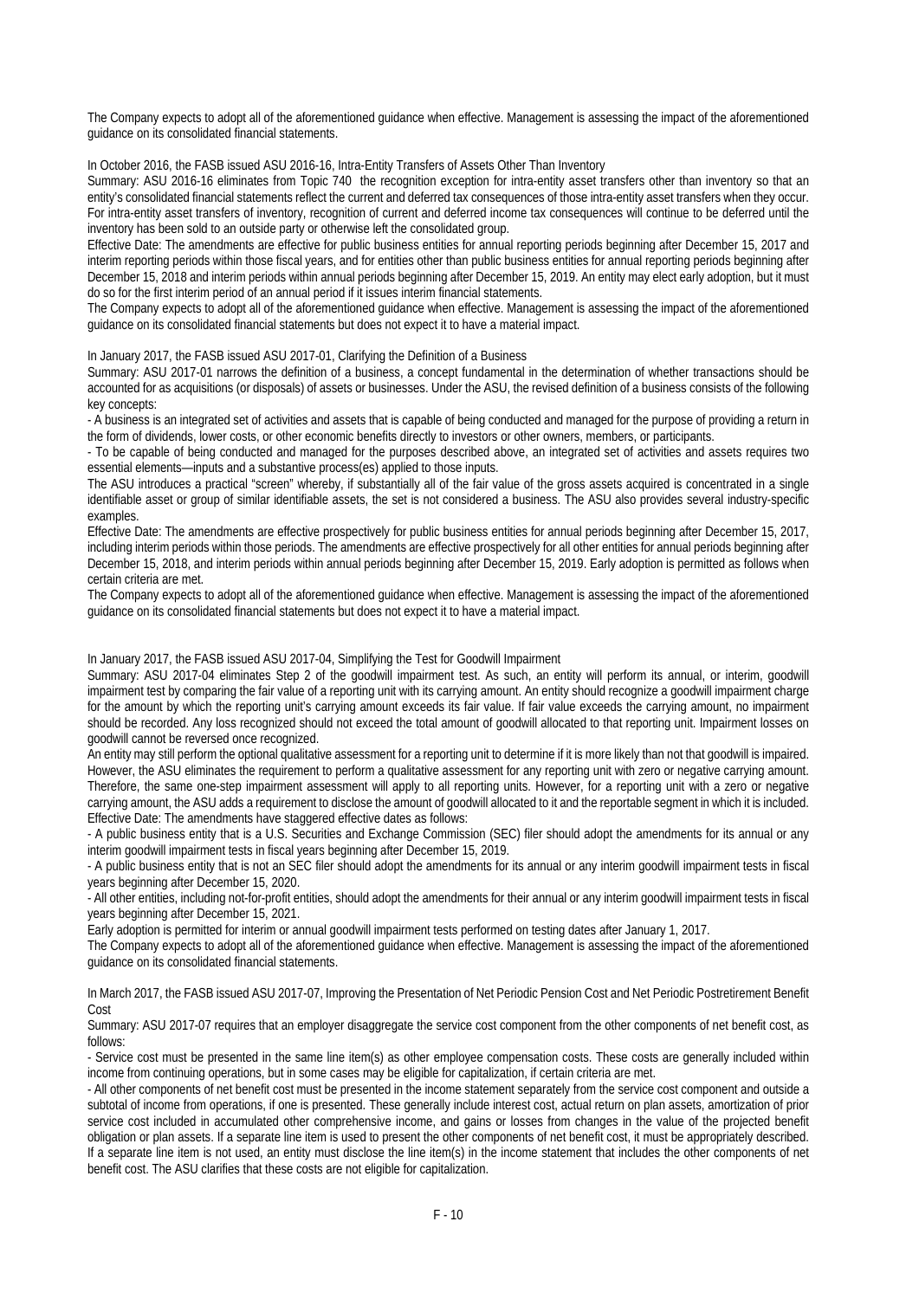The Company expects to adopt all of the aforementioned guidance when effective. Management is assessing the impact of the aforementioned guidance on its consolidated financial statements.

In October 2016, the FASB issued ASU 2016-16, Intra-Entity Transfers of Assets Other Than Inventory

Summary: ASU 2016-16 eliminates from Topic 740 the recognition exception for intra-entity asset transfers other than inventory so that an entity's consolidated financial statements reflect the current and deferred tax consequences of those intra-entity asset transfers when they occur. For intra-entity asset transfers of inventory, recognition of current and deferred income tax consequences will continue to be deferred until the inventory has been sold to an outside party or otherwise left the consolidated group.

Effective Date: The amendments are effective for public business entities for annual reporting periods beginning after December 15, 2017 and interim reporting periods within those fiscal years, and for entities other than public business entities for annual reporting periods beginning after December 15, 2018 and interim periods within annual periods beginning after December 15, 2019. An entity may elect early adoption, but it must do so for the first interim period of an annual period if it issues interim financial statements.

The Company expects to adopt all of the aforementioned guidance when effective. Management is assessing the impact of the aforementioned guidance on its consolidated financial statements but does not expect it to have a material impact.

In January 2017, the FASB issued ASU 2017-01, Clarifying the Definition of a Business

Summary: ASU 2017-01 narrows the definition of a business, a concept fundamental in the determination of whether transactions should be accounted for as acquisitions (or disposals) of assets or businesses. Under the ASU, the revised definition of a business consists of the following key concepts:

- A business is an integrated set of activities and assets that is capable of being conducted and managed for the purpose of providing a return in the form of dividends, lower costs, or other economic benefits directly to investors or other owners, members, or participants.

- To be capable of being conducted and managed for the purposes described above, an integrated set of activities and assets requires two essential elements—inputs and a substantive process(es) applied to those inputs.

The ASU introduces a practical "screen" whereby, if substantially all of the fair value of the gross assets acquired is concentrated in a single identifiable asset or group of similar identifiable assets, the set is not considered a business. The ASU also provides several industry-specific examples.

Effective Date: The amendments are effective prospectively for public business entities for annual periods beginning after December 15, 2017, including interim periods within those periods. The amendments are effective prospectively for all other entities for annual periods beginning after December 15, 2018, and interim periods within annual periods beginning after December 15, 2019. Early adoption is permitted as follows when certain criteria are met.

The Company expects to adopt all of the aforementioned guidance when effective. Management is assessing the impact of the aforementioned guidance on its consolidated financial statements but does not expect it to have a material impact.

In January 2017, the FASB issued ASU 2017-04, Simplifying the Test for Goodwill Impairment

Summary: ASU 2017-04 eliminates Step 2 of the goodwill impairment test. As such, an entity will perform its annual, or interim, goodwill impairment test by comparing the fair value of a reporting unit with its carrying amount. An entity should recognize a goodwill impairment charge for the amount by which the reporting unit's carrying amount exceeds its fair value. If fair value exceeds the carrying amount, no impairment should be recorded. Any loss recognized should not exceed the total amount of goodwill allocated to that reporting unit. Impairment losses on goodwill cannot be reversed once recognized.

An entity may still perform the optional qualitative assessment for a reporting unit to determine if it is more likely than not that goodwill is impaired. However, the ASU eliminates the requirement to perform a qualitative assessment for any reporting unit with zero or negative carrying amount. Therefore, the same one-step impairment assessment will apply to all reporting units. However, for a reporting unit with a zero or negative carrying amount, the ASU adds a requirement to disclose the amount of goodwill allocated to it and the reportable segment in which it is included. Effective Date: The amendments have staggered effective dates as follows:

- A public business entity that is a U.S. Securities and Exchange Commission (SEC) filer should adopt the amendments for its annual or any interim goodwill impairment tests in fiscal years beginning after December 15, 2019.

- A public business entity that is not an SEC filer should adopt the amendments for its annual or any interim goodwill impairment tests in fiscal years beginning after December 15, 2020.

- All other entities, including not-for-profit entities, should adopt the amendments for their annual or any interim goodwill impairment tests in fiscal years beginning after December 15, 2021.

Early adoption is permitted for interim or annual goodwill impairment tests performed on testing dates after January 1, 2017.

The Company expects to adopt all of the aforementioned guidance when effective. Management is assessing the impact of the aforementioned guidance on its consolidated financial statements.

In March 2017, the FASB issued ASU 2017-07, Improving the Presentation of Net Periodic Pension Cost and Net Periodic Postretirement Benefit Cost

Summary: ASU 2017-07 requires that an employer disaggregate the service cost component from the other components of net benefit cost, as follows:

- Service cost must be presented in the same line item(s) as other employee compensation costs. These costs are generally included within income from continuing operations, but in some cases may be eligible for capitalization, if certain criteria are met.

- All other components of net benefit cost must be presented in the income statement separately from the service cost component and outside a subtotal of income from operations, if one is presented. These generally include interest cost, actual return on plan assets, amortization of prior service cost included in accumulated other comprehensive income, and gains or losses from changes in the value of the projected benefit obligation or plan assets. If a separate line item is used to present the other components of net benefit cost, it must be appropriately described. If a separate line item is not used, an entity must disclose the line item(s) in the income statement that includes the other components of net benefit cost. The ASU clarifies that these costs are not eligible for capitalization.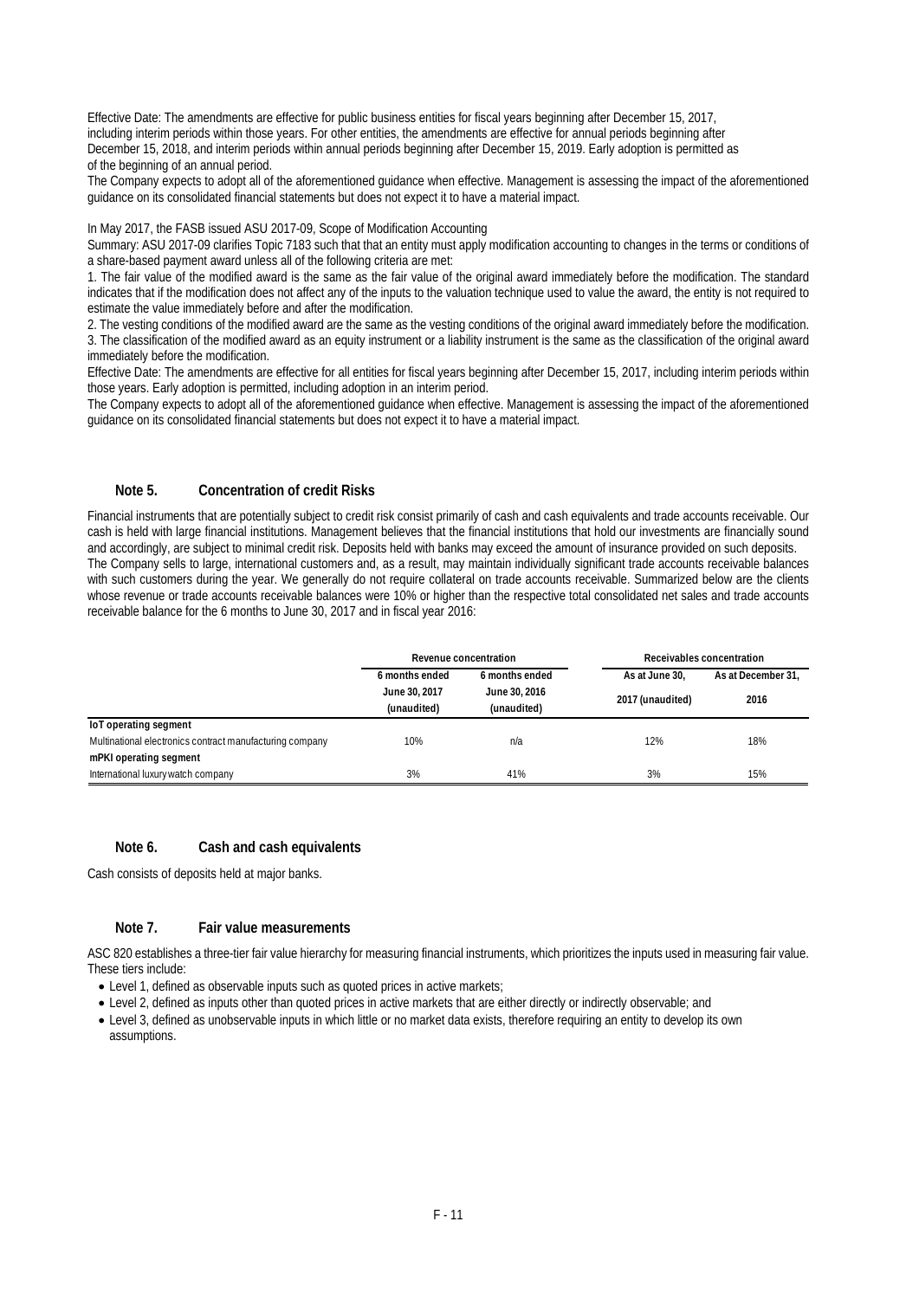Effective Date: The amendments are effective for public business entities for fiscal years beginning after December 15, 2017, including interim periods within those years. For other entities, the amendments are effective for annual periods beginning after December 15, 2018, and interim periods within annual periods beginning after December 15, 2019. Early adoption is permitted as of the beginning of an annual period.

The Company expects to adopt all of the aforementioned guidance when effective. Management is assessing the impact of the aforementioned guidance on its consolidated financial statements but does not expect it to have a material impact.

#### In May 2017, the FASB issued ASU 2017-09, Scope of Modification Accounting

Summary: ASU 2017-09 clarifies Topic 7183 such that that an entity must apply modification accounting to changes in the terms or conditions of a share-based payment award unless all of the following criteria are met:

1. The fair value of the modified award is the same as the fair value of the original award immediately before the modification. The standard indicates that if the modification does not affect any of the inputs to the valuation technique used to value the award, the entity is not required to estimate the value immediately before and after the modification.

2. The vesting conditions of the modified award are the same as the vesting conditions of the original award immediately before the modification. 3. The classification of the modified award as an equity instrument or a liability instrument is the same as the classification of the original award immediately before the modification.

Effective Date: The amendments are effective for all entities for fiscal years beginning after December 15, 2017, including interim periods within those years. Early adoption is permitted, including adoption in an interim period.

The Company expects to adopt all of the aforementioned guidance when effective. Management is assessing the impact of the aforementioned guidance on its consolidated financial statements but does not expect it to have a material impact.

#### **Note 5. Concentration of credit Risks**

Financial instruments that are potentially subject to credit risk consist primarily of cash and cash equivalents and trade accounts receivable. Our cash is held with large financial institutions. Management believes that the financial institutions that hold our investments are financially sound and accordingly, are subject to minimal credit risk. Deposits held with banks may exceed the amount of insurance provided on such deposits. The Company sells to large, international customers and, as a result, may maintain individually significant trade accounts receivable balances with such customers during the year. We generally do not require collateral on trade accounts receivable. Summarized below are the clients whose revenue or trade accounts receivable balances were 10% or higher than the respective total consolidated net sales and trade accounts receivable balance for the 6 months to June 30, 2017 and in fiscal year 2016:

|                                                          | Revenue concentration        |                              |                  | Receivables concentration |  |
|----------------------------------------------------------|------------------------------|------------------------------|------------------|---------------------------|--|
|                                                          | 6 months ended               | 6 months ended               | As at June 30.   | As at December 31.        |  |
|                                                          | June 30, 2017<br>(unaudited) | June 30, 2016<br>(unaudited) | 2017 (unaudited) | 2016                      |  |
| loT operating segment                                    |                              |                              |                  |                           |  |
| Multinational electronics contract manufacturing company | 10%                          | n/a                          | 12%              | 18%                       |  |
| mPKI operating segment                                   |                              |                              |                  |                           |  |
| International luxury watch company                       | 3%                           | 41%                          | 3%               | 15%                       |  |

#### **Note 6. Cash and cash equivalents**

Cash consists of deposits held at major banks.

#### **Note 7. Fair value measurements**

ASC 820 establishes a three-tier fair value hierarchy for measuring financial instruments, which prioritizes the inputs used in measuring fair value. These tiers include:

- Level 1, defined as observable inputs such as quoted prices in active markets;
- Level 2, defined as inputs other than quoted prices in active markets that are either directly or indirectly observable; and
- Level 3, defined as unobservable inputs in which little or no market data exists, therefore requiring an entity to develop its own assumptions.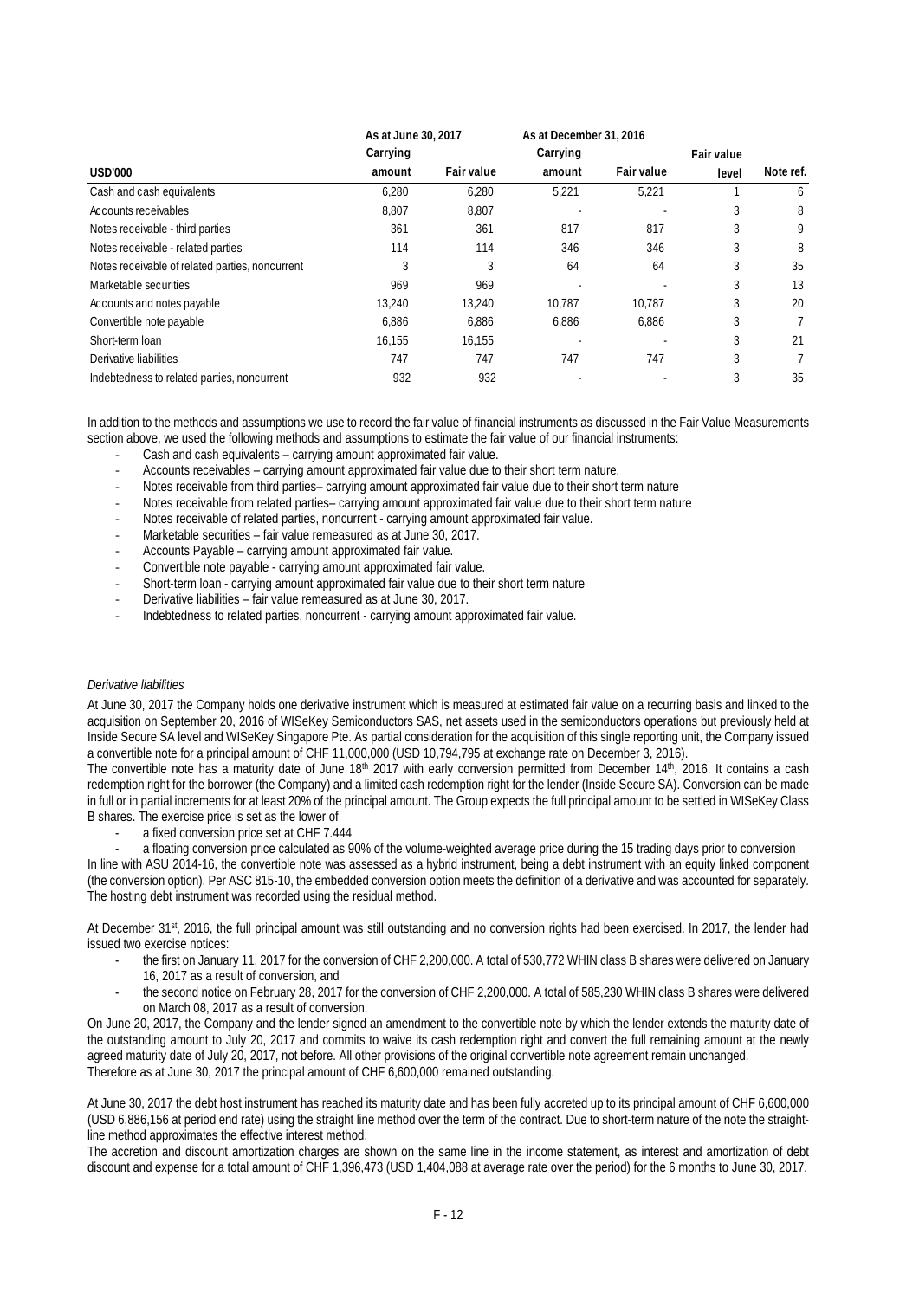|                                                 | As at June 30, 2017 |                   | As at December 31, 2016 |            |                   |           |
|-------------------------------------------------|---------------------|-------------------|-------------------------|------------|-------------------|-----------|
|                                                 | Carrying            |                   | Carrying                |            | <b>Fair value</b> |           |
| <b>USD'000</b>                                  | amount              | <b>Fair value</b> | amount                  | Fair value | level             | Note ref. |
| Cash and cash equivalents                       | 6.280               | 6,280             | 5,221                   | 5,221      |                   | 6         |
| Accounts receivables                            | 8,807               | 8,807             |                         |            | 3                 | 8         |
| Notes receivable - third parties                | 361                 | 361               | 817                     | 817        | 3                 | 9         |
| Notes receivable - related parties              | 114                 | 114               | 346                     | 346        |                   | 8         |
| Notes receivable of related parties, noncurrent | 3                   |                   | 64                      | 64         | 3                 | 35        |
| Marketable securities                           | 969                 | 969               |                         |            | 3                 | 13        |
| Accounts and notes payable                      | 13.240              | 13.240            | 10.787                  | 10.787     | 3                 | 20        |
| Convertible note payable                        | 6.886               | 6.886             | 6.886                   | 6.886      | 3                 |           |
| Short-term loan                                 | 16,155              | 16,155            |                         |            | 3                 | 21        |
| Derivative liabilities                          | 747                 | 747               | 747                     | 747        | 3                 |           |
| Indebtedness to related parties, noncurrent     | 932                 | 932               |                         |            |                   | 35        |

In addition to the methods and assumptions we use to record the fair value of financial instruments as discussed in the Fair Value Measurements section above, we used the following methods and assumptions to estimate the fair value of our financial instruments:

- ‐ Cash and cash equivalents carrying amount approximated fair value.
- ‐ Accounts receivables carrying amount approximated fair value due to their short term nature.
- ‐ Notes receivable from third parties– carrying amount approximated fair value due to their short term nature
- ‐ Notes receivable from related parties– carrying amount approximated fair value due to their short term nature
- ‐ Notes receivable of related parties, noncurrent carrying amount approximated fair value.
- Marketable securities fair value remeasured as at June 30, 2017.
- ‐ Accounts Payable carrying amount approximated fair value.
- ‐ Convertible note payable carrying amount approximated fair value.
- ‐ Short-term loan carrying amount approximated fair value due to their short term nature
- ‐ Derivative liabilities fair value remeasured as at June 30, 2017.
- ‐ Indebtedness to related parties, noncurrent carrying amount approximated fair value.

#### *Derivative liabilities*

At June 30, 2017 the Company holds one derivative instrument which is measured at estimated fair value on a recurring basis and linked to the acquisition on September 20, 2016 of WISeKey Semiconductors SAS, net assets used in the semiconductors operations but previously held at Inside Secure SA level and WISeKey Singapore Pte. As partial consideration for the acquisition of this single reporting unit, the Company issued a convertible note for a principal amount of CHF 11,000,000 (USD 10,794,795 at exchange rate on December 3, 2016).

The convertible note has a maturity date of June 18<sup>th</sup> 2017 with early conversion permitted from December 14<sup>th</sup>, 2016. It contains a cash redemption right for the borrower (the Company) and a limited cash redemption right for the lender (Inside Secure SA). Conversion can be made in full or in partial increments for at least 20% of the principal amount. The Group expects the full principal amount to be settled in WISeKey Class B shares. The exercise price is set as the lower of

- a fixed conversion price set at CHF 7.444
- a floating conversion price calculated as 90% of the volume-weighted average price during the 15 trading days prior to conversion

In line with ASU 2014-16, the convertible note was assessed as a hybrid instrument, being a debt instrument with an equity linked component (the conversion option). Per ASC 815-10, the embedded conversion option meets the definition of a derivative and was accounted for separately. The hosting debt instrument was recorded using the residual method.

At December 31st, 2016, the full principal amount was still outstanding and no conversion rights had been exercised. In 2017, the lender had issued two exercise notices:

- the first on January 11, 2017 for the conversion of CHF 2,200,000. A total of 530,772 WHIN class B shares were delivered on January 16, 2017 as a result of conversion, and
- the second notice on February 28, 2017 for the conversion of CHF 2,200,000. A total of 585,230 WHIN class B shares were delivered on March 08, 2017 as a result of conversion.

On June 20, 2017, the Company and the lender signed an amendment to the convertible note by which the lender extends the maturity date of the outstanding amount to July 20, 2017 and commits to waive its cash redemption right and convert the full remaining amount at the newly agreed maturity date of July 20, 2017, not before. All other provisions of the original convertible note agreement remain unchanged. Therefore as at June 30, 2017 the principal amount of CHF 6,600,000 remained outstanding.

At June 30, 2017 the debt host instrument has reached its maturity date and has been fully accreted up to its principal amount of CHF 6,600,000 (USD 6,886,156 at period end rate) using the straight line method over the term of the contract. Due to short-term nature of the note the straightline method approximates the effective interest method.

The accretion and discount amortization charges are shown on the same line in the income statement, as interest and amortization of debt discount and expense for a total amount of CHF 1,396,473 (USD 1,404,088 at average rate over the period) for the 6 months to June 30, 2017.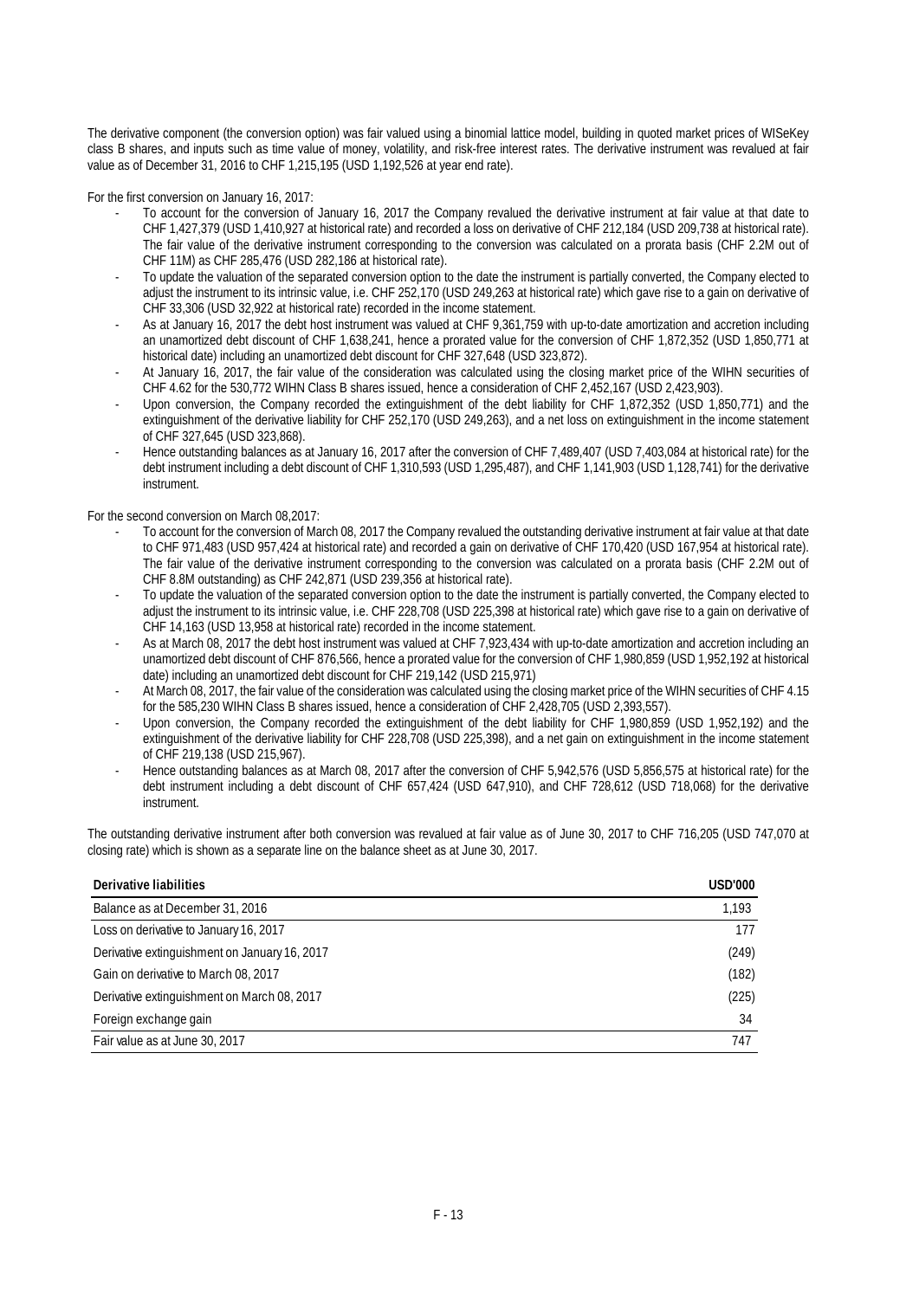The derivative component (the conversion option) was fair valued using a binomial lattice model, building in quoted market prices of WISeKey class B shares, and inputs such as time value of money, volatility, and risk-free interest rates. The derivative instrument was revalued at fair value as of December 31, 2016 to CHF 1,215,195 (USD 1,192,526 at year end rate).

For the first conversion on January 16, 2017:

- To account for the conversion of January 16, 2017 the Company revalued the derivative instrument at fair value at that date to CHF 1,427,379 (USD 1,410,927 at historical rate) and recorded a loss on derivative of CHF 212,184 (USD 209,738 at historical rate). The fair value of the derivative instrument corresponding to the conversion was calculated on a prorata basis (CHF 2.2M out of CHF 11M) as CHF 285,476 (USD 282,186 at historical rate).
- To update the valuation of the separated conversion option to the date the instrument is partially converted, the Company elected to adjust the instrument to its intrinsic value, i.e. CHF 252,170 (USD 249,263 at historical rate) which gave rise to a gain on derivative of CHF 33,306 (USD 32,922 at historical rate) recorded in the income statement.
- As at January 16, 2017 the debt host instrument was valued at CHF 9,361,759 with up-to-date amortization and accretion including an unamortized debt discount of CHF 1,638,241, hence a prorated value for the conversion of CHF 1,872,352 (USD 1,850,771 at historical date) including an unamortized debt discount for CHF 327,648 (USD 323,872).
- At January 16, 2017, the fair value of the consideration was calculated using the closing market price of the WIHN securities of CHF 4.62 for the 530,772 WIHN Class B shares issued, hence a consideration of CHF 2,452,167 (USD 2,423,903).
- Upon conversion, the Company recorded the extinguishment of the debt liability for CHF 1,872,352 (USD 1,850,771) and the extinguishment of the derivative liability for CHF 252,170 (USD 249,263), and a net loss on extinguishment in the income statement of CHF 327,645 (USD 323,868).
- Hence outstanding balances as at January 16, 2017 after the conversion of CHF 7,489,407 (USD 7,403,084 at historical rate) for the debt instrument including a debt discount of CHF 1,310,593 (USD 1,295,487), and CHF 1,141,903 (USD 1,128,741) for the derivative instrument.

For the second conversion on March 08,2017:

- To account for the conversion of March 08, 2017 the Company revalued the outstanding derivative instrument at fair value at that date to CHF 971,483 (USD 957,424 at historical rate) and recorded a gain on derivative of CHF 170,420 (USD 167,954 at historical rate). The fair value of the derivative instrument corresponding to the conversion was calculated on a prorata basis (CHF 2.2M out of CHF 8.8M outstanding) as CHF 242,871 (USD 239,356 at historical rate).
- To update the valuation of the separated conversion option to the date the instrument is partially converted, the Company elected to adjust the instrument to its intrinsic value, i.e. CHF 228,708 (USD 225,398 at historical rate) which gave rise to a gain on derivative of CHF 14,163 (USD 13,958 at historical rate) recorded in the income statement.
- As at March 08, 2017 the debt host instrument was valued at CHF 7,923,434 with up-to-date amortization and accretion including an unamortized debt discount of CHF 876,566, hence a prorated value for the conversion of CHF 1,980,859 (USD 1,952,192 at historical date) including an unamortized debt discount for CHF 219,142 (USD 215,971)
- At March 08, 2017, the fair value of the consideration was calculated using the closing market price of the WIHN securities of CHF 4.15 for the 585,230 WIHN Class B shares issued, hence a consideration of CHF 2,428,705 (USD 2,393,557).
- Upon conversion, the Company recorded the extinguishment of the debt liability for CHF 1,980,859 (USD 1,952,192) and the extinguishment of the derivative liability for CHF 228,708 (USD 225,398), and a net gain on extinguishment in the income statement of CHF 219,138 (USD 215,967).
- Hence outstanding balances as at March 08, 2017 after the conversion of CHF 5,942,576 (USD 5,856,575 at historical rate) for the debt instrument including a debt discount of CHF 657,424 (USD 647,910), and CHF 728,612 (USD 718,068) for the derivative instrument.

The outstanding derivative instrument after both conversion was revalued at fair value as of June 30, 2017 to CHF 716,205 (USD 747,070 at closing rate) which is shown as a separate line on the balance sheet as at June 30, 2017.

| Derivative liabilities                        | <b>USD'000</b> |
|-----------------------------------------------|----------------|
| Balance as at December 31, 2016               | 1.193          |
| Loss on derivative to January 16, 2017        | 177            |
| Derivative extinguishment on January 16, 2017 | (249)          |
| Gain on derivative to March 08, 2017          | (182)          |
| Derivative extinguishment on March 08, 2017   | (225)          |
| Foreign exchange gain                         | 34             |
| Fair value as at June 30, 2017                | 747            |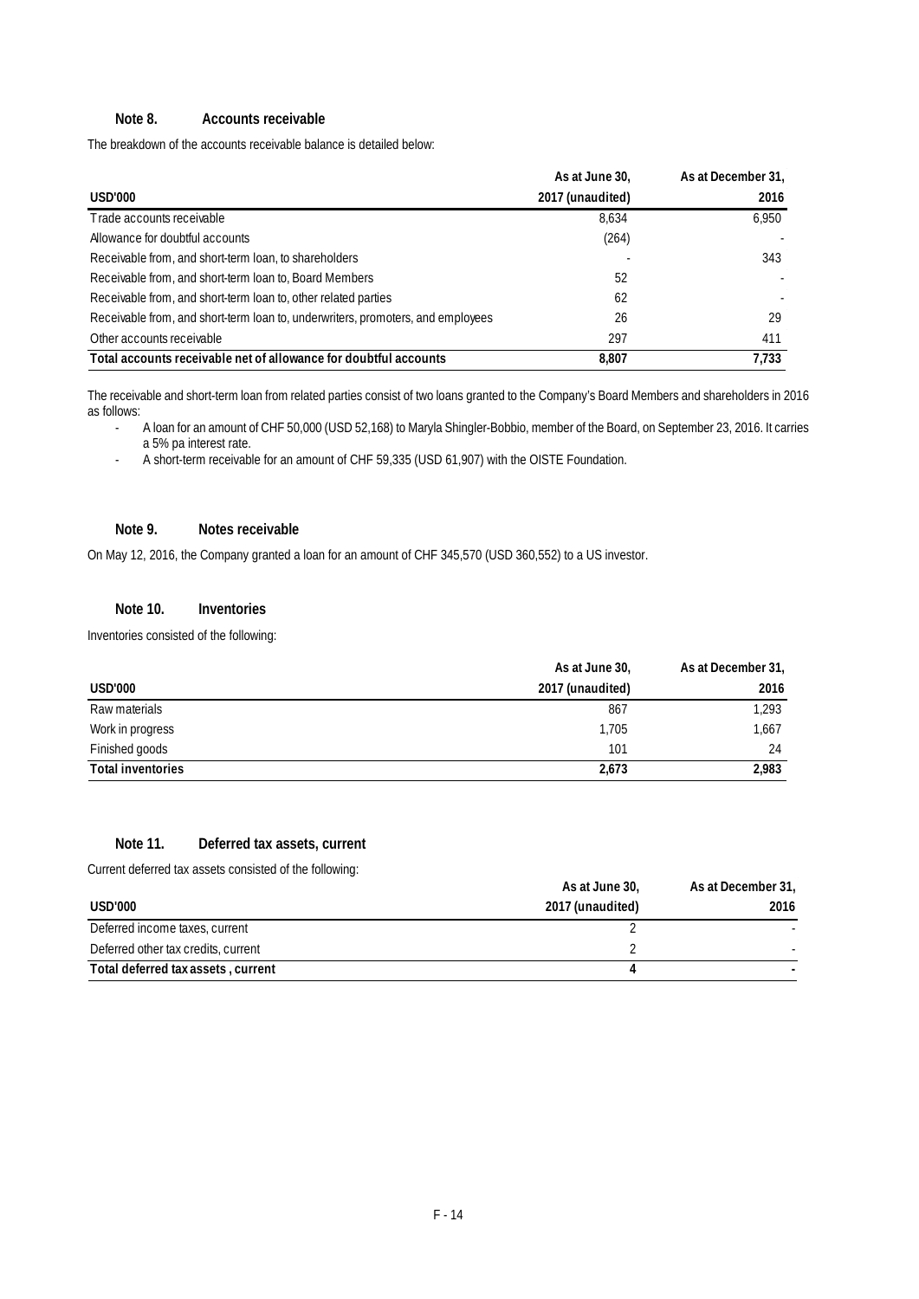### **Note 8. Accounts receivable**

The breakdown of the accounts receivable balance is detailed below:

|                                                                                 | As at June 30,   | As at December 31, |
|---------------------------------------------------------------------------------|------------------|--------------------|
| USD'000                                                                         | 2017 (unaudited) | 2016               |
| Trade accounts receivable                                                       | 8,634            | 6.950              |
| Allowance for doubtful accounts                                                 | (264)            |                    |
| Receivable from, and short-term loan, to shareholders                           |                  | 343                |
| Receivable from, and short-term loan to, Board Members                          | 52               |                    |
| Receivable from, and short-term loan to, other related parties                  | 62               |                    |
| Receivable from, and short-term loan to, underwriters, promoters, and employees | 26               | 29                 |
| Other accounts receivable                                                       | 297              | 411                |
| Total accounts receivable net of allowance for doubtful accounts                | 8.807            | 7.733              |

The receivable and short-term loan from related parties consist of two loans granted to the Company's Board Members and shareholders in 2016 as follows:

- A loan for an amount of CHF 50,000 (USD 52,168) to Maryla Shingler-Bobbio, member of the Board, on September 23, 2016. It carries a 5% pa interest rate.
- A short-term receivable for an amount of CHF 59,335 (USD 61,907) with the OISTE Foundation.

#### **Note 9. Notes receivable**

On May 12, 2016, the Company granted a loan for an amount of CHF 345,570 (USD 360,552) to a US investor.

#### **Note 10. Inventories**

Inventories consisted of the following:

|                          | As at June 30,   | As at December 31, |
|--------------------------|------------------|--------------------|
| <b>USD'000</b>           | 2017 (unaudited) | 2016               |
| Raw materials            | 867              | 1.293              |
| Work in progress         | 1.705            | 1.667              |
| Finished goods           | 101              | 24                 |
| <b>Total inventories</b> | 2,673            | 2,983              |

#### **Note 11. Deferred tax assets, current**

Current deferred tax assets consisted of the following:

|                                     | As at June 30,   | As at December 31, |
|-------------------------------------|------------------|--------------------|
| <b>USD'000</b>                      | 2017 (unaudited) | 2016               |
| Deferred income taxes, current      |                  |                    |
| Deferred other tax credits, current |                  |                    |
| Total deferred tax assets, current  |                  |                    |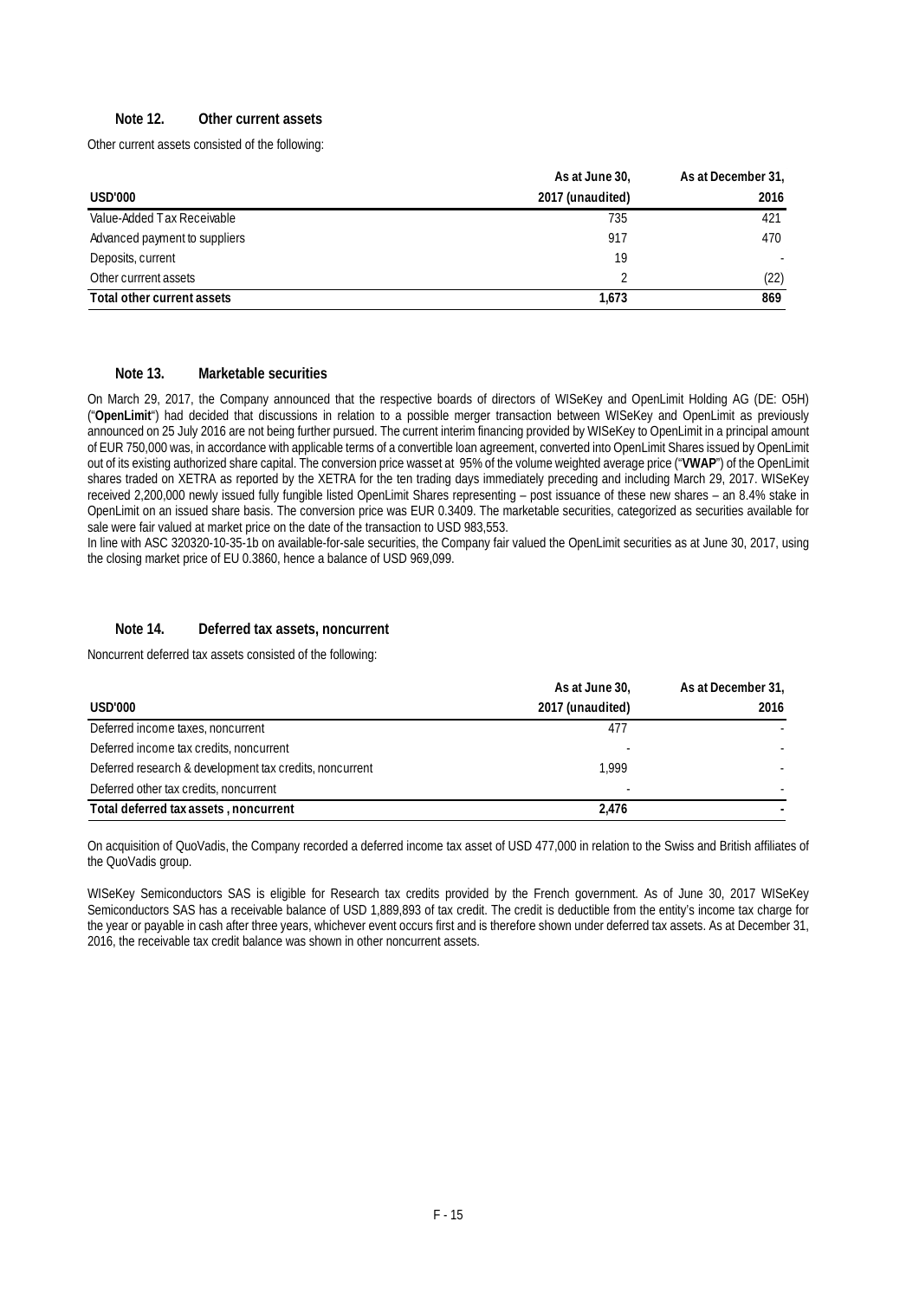### **Note 12. Other current assets**

Other current assets consisted of the following:

|                               | As at June 30,   | As at December 31, |
|-------------------------------|------------------|--------------------|
| <b>USD'000</b>                | 2017 (unaudited) | 2016               |
| Value-Added Tax Receivable    | 735              | 421                |
| Advanced payment to suppliers | 917              | 470                |
| Deposits, current             | 19               |                    |
| Other currrent assets         |                  | (22)               |
| Total other current assets    | 1.673            | 869                |

#### **Note 13. Marketable securities**

On March 29, 2017, the Company announced that the respective boards of directors of WISeKey and OpenLimit Holding AG (DE: O5H) ("**OpenLimit**") had decided that discussions in relation to a possible merger transaction between WISeKey and OpenLimit as previously announced on 25 July 2016 are not being further pursued. The current interim financing provided by WISeKey to OpenLimit in a principal amount of EUR 750,000 was, in accordance with applicable terms of a convertible loan agreement, converted into OpenLimit Shares issued by OpenLimit out of its existing authorized share capital. The conversion price wasset at 95% of the volume weighted average price ("**VWAP**") of the OpenLimit shares traded on XETRA as reported by the XETRA for the ten trading days immediately preceding and including March 29, 2017. WISeKey received 2,200,000 newly issued fully fungible listed OpenLimit Shares representing – post issuance of these new shares – an 8.4% stake in OpenLimit on an issued share basis. The conversion price was EUR 0.3409. The marketable securities, categorized as securities available for sale were fair valued at market price on the date of the transaction to USD 983,553.

In line with ASC 320320-10-35-1b on available-for-sale securities, the Company fair valued the OpenLimit securities as at June 30, 2017, using the closing market price of EU 0.3860, hence a balance of USD 969,099.

#### **Note 14. Deferred tax assets, noncurrent**

Noncurrent deferred tax assets consisted of the following:

|                                                         | As at June 30,   | As at December 31, |
|---------------------------------------------------------|------------------|--------------------|
| USD'000                                                 | 2017 (unaudited) | 2016               |
| Deferred income taxes, noncurrent                       | 477              |                    |
| Deferred income tax credits, noncurrent                 |                  |                    |
| Deferred research & development tax credits, noncurrent | 1.999            |                    |
| Deferred other tax credits, noncurrent                  |                  |                    |
| Total deferred tax assets, noncurrent                   | 2.476            |                    |

On acquisition of QuoVadis, the Company recorded a deferred income tax asset of USD 477,000 in relation to the Swiss and British affiliates of the QuoVadis group.

WISeKey Semiconductors SAS is eligible for Research tax credits provided by the French government. As of June 30, 2017 WISeKey Semiconductors SAS has a receivable balance of USD 1,889,893 of tax credit. The credit is deductible from the entity's income tax charge for the year or payable in cash after three years, whichever event occurs first and is therefore shown under deferred tax assets. As at December 31, 2016, the receivable tax credit balance was shown in other noncurrent assets.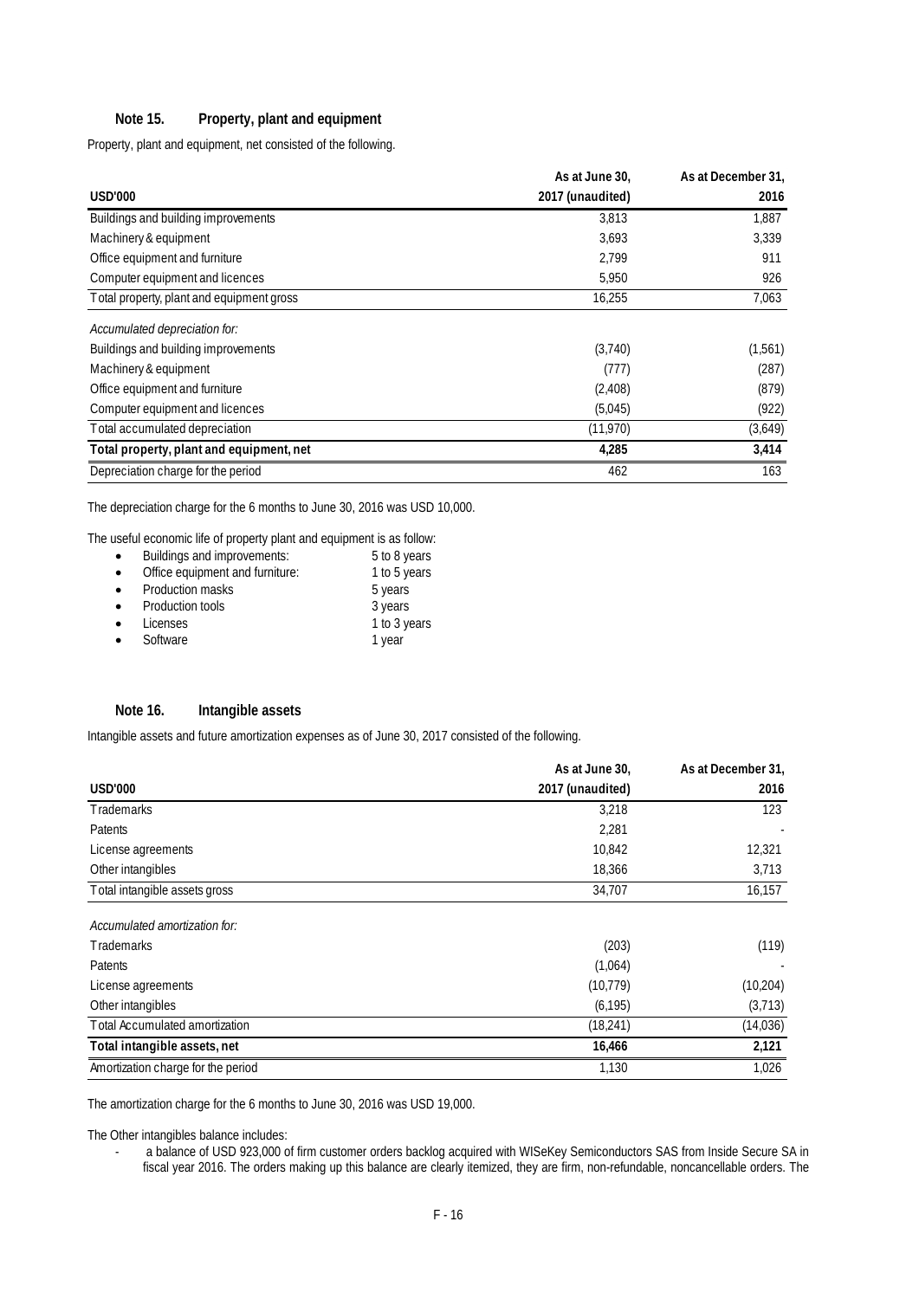## **Note 15. Property, plant and equipment**

Property, plant and equipment, net consisted of the following.

|                                           | As at June 30,   | As at December 31, |
|-------------------------------------------|------------------|--------------------|
| <b>USD'000</b>                            | 2017 (unaudited) | 2016               |
| Buildings and building improvements       | 3,813            | 1,887              |
| Machinery & equipment                     | 3.693            | 3,339              |
| Office equipment and furniture            | 2,799            | 911                |
| Computer equipment and licences           | 5,950            | 926                |
| Total property, plant and equipment gross | 16,255           | 7,063              |
| Accumulated depreciation for:             |                  |                    |
| Buildings and building improvements       | (3,740)          | (1,561)            |
| Machinery & equipment                     | (777)            | (287)              |
| Office equipment and furniture            | (2,408)          | (879)              |
| Computer equipment and licences           | (5,045)          | (922)              |
| Total accumulated depreciation            | (11,970)         | (3,649)            |
| Total property, plant and equipment, net  | 4,285            | 3,414              |
| Depreciation charge for the period        | 462              | 163                |

The depreciation charge for the 6 months to June 30, 2016 was USD 10,000.

The useful economic life of property plant and equipment is as follow:

| $\bullet$ | Buildings and improvements:     | 5 to 8 years |
|-----------|---------------------------------|--------------|
|           | Office equipment and furniture: | 1 to 5 years |
|           | Production masks                | 5 years      |
|           | Production tools                | 3 years      |
|           |                                 |              |

- Licenses 1 to 3 years
- Software 1 year 1 year

#### **Note 16. Intangible assets**

Intangible assets and future amortization expenses as of June 30, 2017 consisted of the following.

|                                    | As at June 30,   | As at December 31, |
|------------------------------------|------------------|--------------------|
| <b>USD'000</b>                     | 2017 (unaudited) | 2016               |
| Trademarks                         | 3,218            | 123                |
| Patents                            | 2,281            |                    |
| License agreements                 | 10,842           | 12,321             |
| Other intangibles                  | 18,366           | 3,713              |
| Total intangible assets gross      | 34,707           | 16,157             |
| Accumulated amortization for:      |                  |                    |
| Trademarks                         | (203)            | (119)              |
| Patents                            | (1,064)          |                    |
| License agreements                 | (10, 779)        | (10, 204)          |
| Other intangibles                  | (6, 195)         | (3,713)            |
| Total Accumulated amortization     | (18, 241)        | (14, 036)          |
| Total intangible assets, net       | 16,466           | 2,121              |
| Amortization charge for the period | 1,130            | 1,026              |

The amortization charge for the 6 months to June 30, 2016 was USD 19,000.

The Other intangibles balance includes:

a balance of USD 923,000 of firm customer orders backlog acquired with WISeKey Semiconductors SAS from Inside Secure SA in fiscal year 2016. The orders making up this balance are clearly itemized, they are firm, non-refundable, noncancellable orders. The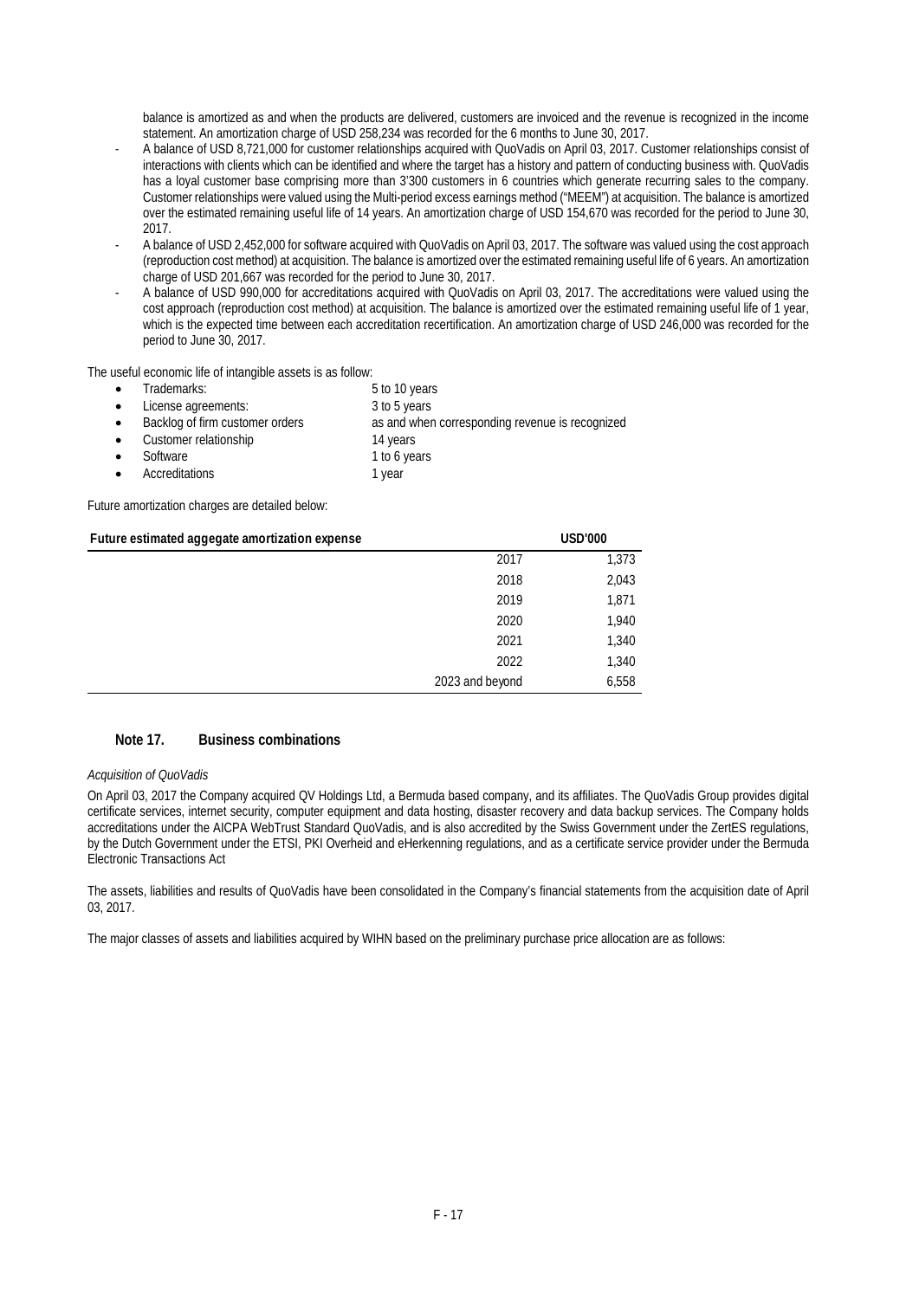balance is amortized as and when the products are delivered, customers are invoiced and the revenue is recognized in the income statement. An amortization charge of USD 258,234 was recorded for the 6 months to June 30, 2017.

- A balance of USD 8,721,000 for customer relationships acquired with QuoVadis on April 03, 2017. Customer relationships consist of interactions with clients which can be identified and where the target has a history and pattern of conducting business with. QuoVadis has a loyal customer base comprising more than 3'300 customers in 6 countries which generate recurring sales to the company. Customer relationships were valued using the Multi-period excess earnings method ("MEEM") at acquisition. The balance is amortized over the estimated remaining useful life of 14 years. An amortization charge of USD 154,670 was recorded for the period to June 30, 2017.
- A balance of USD 2,452,000 for software acquired with QuoVadis on April 03, 2017. The software was valued using the cost approach (reproduction cost method) at acquisition. The balance is amortized over the estimated remaining useful life of 6 years. An amortization charge of USD 201,667 was recorded for the period to June 30, 2017.
- A balance of USD 990,000 for accreditations acquired with QuoVadis on April 03, 2017. The accreditations were valued using the cost approach (reproduction cost method) at acquisition. The balance is amortized over the estimated remaining useful life of 1 year, which is the expected time between each accreditation recertification. An amortization charge of USD 246,000 was recorded for the period to June 30, 2017.

The useful economic life of intangible assets is as follow:

- - Trademarks: 5 to 10 years License agreements: 3 to 5 years
- Backlog of firm customer orders as and when corresponding revenue is recognized Customer relationship 14 years
- Software 1 to 6 years
- 
- Accreditations 1 year

Future amortization charges are detailed below:

## **Future estimated aggegate amortization expense USD'000** 2017 1,373 2018 2,043 2019 1,871 2020 1,940 2021 1,340 2022 1,340 2023 and beyond 6,558

### **Note 17. Business combinations**

#### *Acquisition of QuoVadis*

On April 03, 2017 the Company acquired QV Holdings Ltd, a Bermuda based company, and its affiliates. The QuoVadis Group provides digital certificate services, internet security, computer equipment and data hosting, disaster recovery and data backup services. The Company holds accreditations under the AICPA WebTrust Standard QuoVadis, and is also accredited by the Swiss Government under the ZertES regulations, by the Dutch Government under the ETSI, PKI Overheid and eHerkenning regulations, and as a certificate service provider under the Bermuda Electronic Transactions Act

The assets, liabilities and results of QuoVadis have been consolidated in the Company's financial statements from the acquisition date of April 03, 2017.

The major classes of assets and liabilities acquired by WIHN based on the preliminary purchase price allocation are as follows: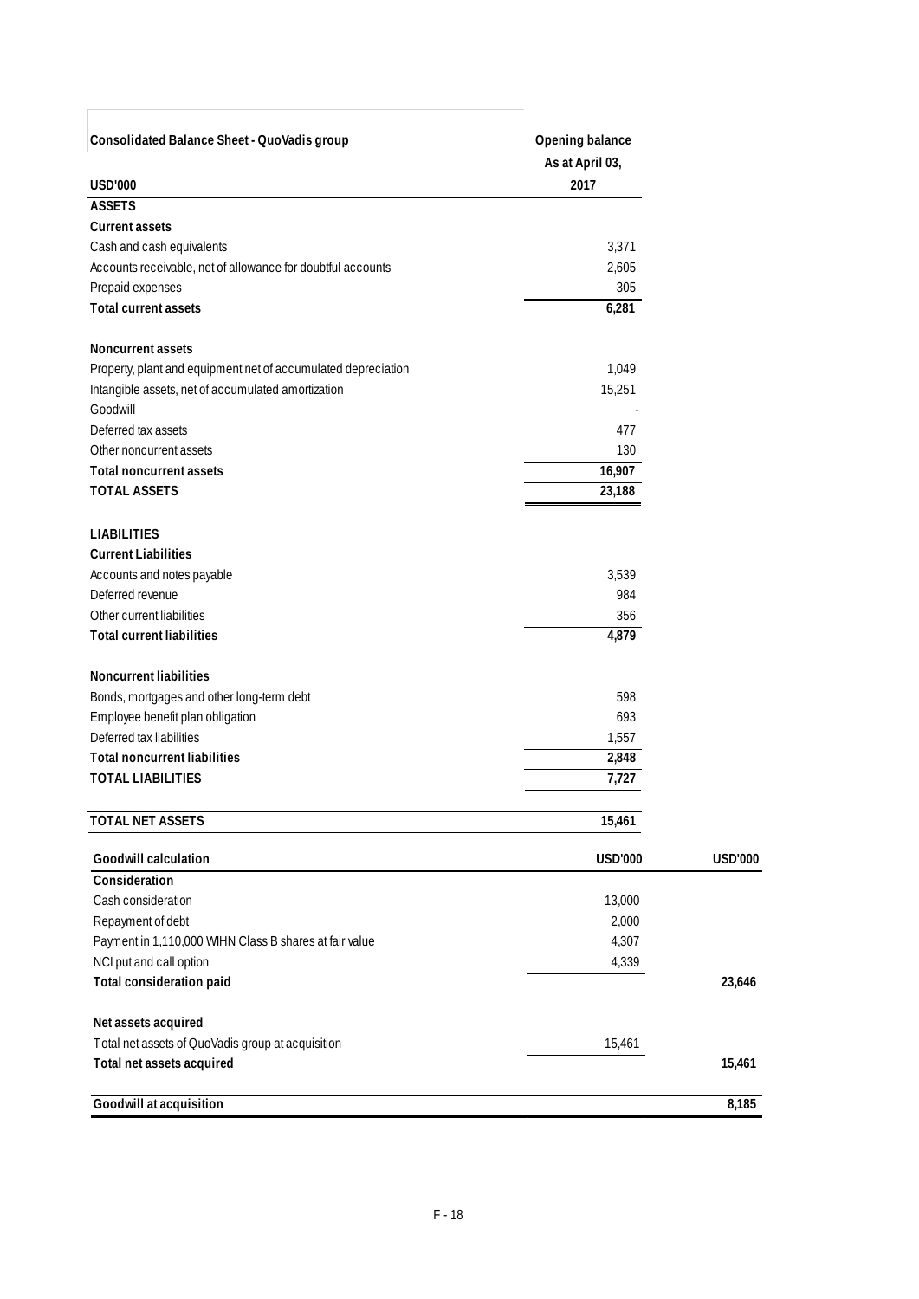| Consolidated Balance Sheet - QuoVadis group<br><b>USD'000</b>   | Opening balance<br>As at April 03,<br>2017 |                |
|-----------------------------------------------------------------|--------------------------------------------|----------------|
| <b>ASSETS</b>                                                   |                                            |                |
| <b>Current assets</b><br>Cash and cash equivalents              |                                            |                |
| Accounts receivable, net of allowance for doubtful accounts     | 3,371<br>2,605                             |                |
| Prepaid expenses                                                | 305                                        |                |
| <b>Total current assets</b>                                     | 6,281                                      |                |
| <b>Noncurrent assets</b>                                        |                                            |                |
| Property, plant and equipment net of accumulated depreciation   | 1,049                                      |                |
| Intangible assets, net of accumulated amortization              | 15,251                                     |                |
| Goodwill                                                        |                                            |                |
| Deferred tax assets                                             | 477                                        |                |
| Other noncurrent assets                                         | 130                                        |                |
| <b>Total noncurrent assets</b>                                  | 16,907                                     |                |
| <b>TOTAL ASSETS</b>                                             | 23,188                                     |                |
| <b>LIABILITIES</b>                                              |                                            |                |
| <b>Current Liabilities</b>                                      |                                            |                |
| Accounts and notes payable                                      | 3,539                                      |                |
| Deferred revenue                                                | 984                                        |                |
| Other current liabilities                                       | 356                                        |                |
| <b>Total current liabilities</b>                                | 4,879                                      |                |
| <b>Noncurrent liabilities</b>                                   |                                            |                |
| Bonds, mortgages and other long-term debt                       | 598                                        |                |
| Employee benefit plan obligation<br>Deferred tax liabilities    | 693                                        |                |
|                                                                 | 1,557                                      |                |
| <b>Total noncurrent liabilities</b><br><b>TOTAL LIABILITIES</b> | 2,848<br>7,727                             |                |
|                                                                 |                                            |                |
| <b>TOTAL NET ASSETS</b>                                         | 15,461                                     |                |
| <b>Goodwill calculation</b>                                     | <b>USD'000</b>                             | <b>USD'000</b> |
| Consideration                                                   |                                            |                |
| Cash consideration                                              | 13,000                                     |                |
| Repayment of debt                                               | 2,000                                      |                |
| Payment in 1,110,000 WIHN Class B shares at fair value          | 4,307                                      |                |
| NCI put and call option                                         | 4,339                                      |                |
| Total consideration paid                                        |                                            | 23,646         |
| Net assets acquired                                             |                                            |                |
| Total net assets of QuoVadis group at acquisition               | 15,461                                     |                |
| Total net assets acquired                                       |                                            | 15,461         |
| Goodwill at acquisition                                         |                                            | 8,185          |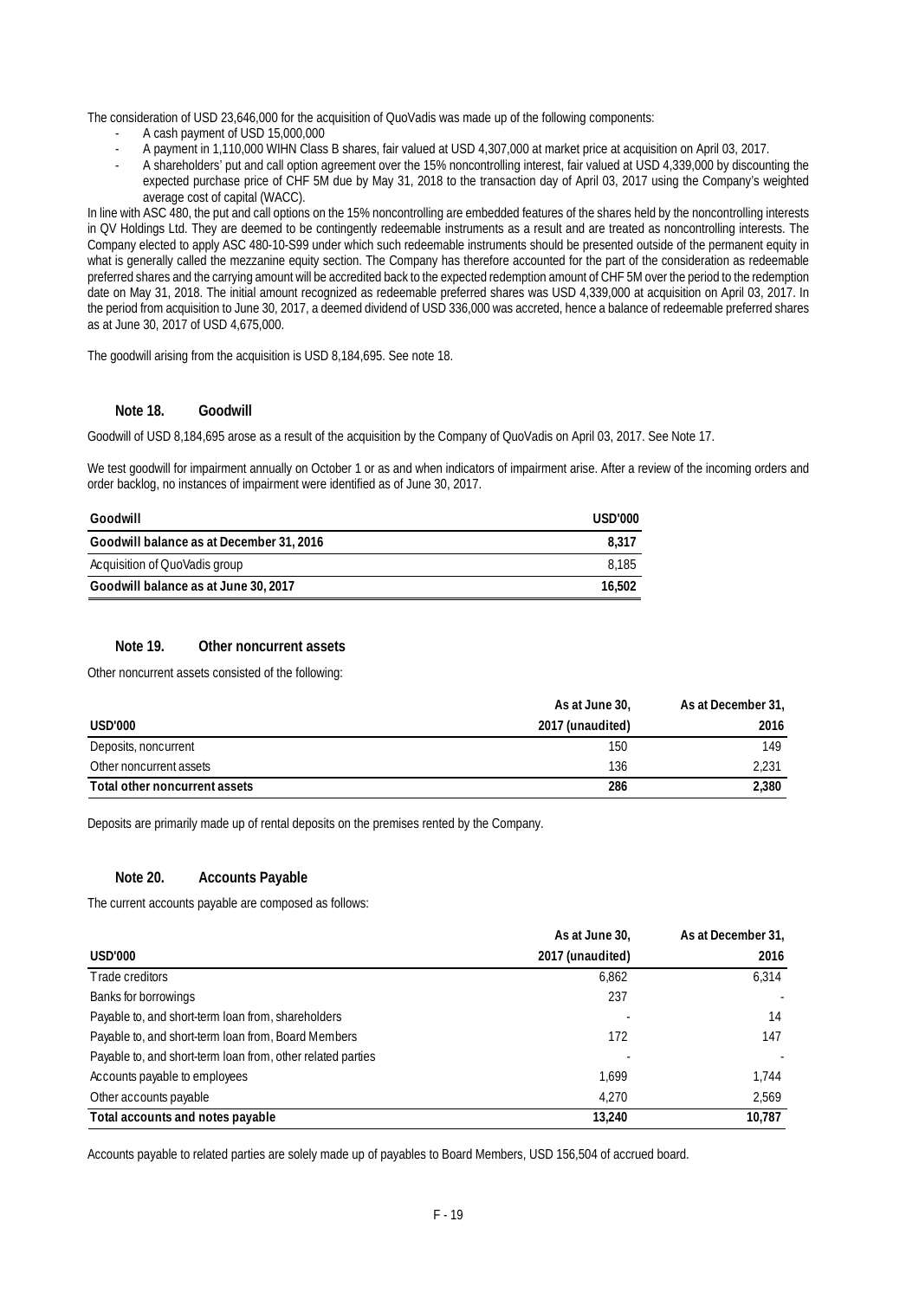The consideration of USD 23,646,000 for the acquisition of QuoVadis was made up of the following components:

- A cash payment of USD 15,000,000
- A payment in 1,110,000 WIHN Class B shares, fair valued at USD 4,307,000 at market price at acquisition on April 03, 2017.
- A shareholders' put and call option agreement over the 15% noncontrolling interest, fair valued at USD 4,339,000 by discounting the expected purchase price of CHF 5M due by May 31, 2018 to the transaction day of April 03, 2017 using the Company's weighted average cost of capital (WACC).

In line with ASC 480, the put and call options on the 15% noncontrolling are embedded features of the shares held by the noncontrolling interests in QV Holdings Ltd. They are deemed to be contingently redeemable instruments as a result and are treated as noncontrolling interests. The Company elected to apply ASC 480-10-S99 under which such redeemable instruments should be presented outside of the permanent equity in what is generally called the mezzanine equity section. The Company has therefore accounted for the part of the consideration as redeemable preferred shares and the carrying amount will be accredited back to the expected redemption amount of CHF 5M over the period to the redemption date on May 31, 2018. The initial amount recognized as redeemable preferred shares was USD 4,339,000 at acquisition on April 03, 2017. In the period from acquisition to June 30, 2017, a deemed dividend of USD 336,000 was accreted, hence a balance of redeemable preferred shares as at June 30, 2017 of USD 4,675,000.

The goodwill arising from the acquisition is USD 8,184,695. See note 18.

#### **Note 18. Goodwill**

Goodwill of USD 8,184,695 arose as a result of the acquisition by the Company of QuoVadis on April 03, 2017. See Note 17.

We test goodwill for impairment annually on October 1 or as and when indicators of impairment arise. After a review of the incoming orders and order backlog, no instances of impairment were identified as of June 30, 2017.

| Goodwill                                 | USD'000 |
|------------------------------------------|---------|
| Goodwill balance as at December 31, 2016 | 8.317   |
| Acquisition of QuoVadis group            | 8.185   |
| Goodwill balance as at June 30, 2017     | 16,502  |

#### **Note 19. Other noncurrent assets**

Other noncurrent assets consisted of the following:

|                               | As at June 30,   | As at December 31, |
|-------------------------------|------------------|--------------------|
| USD'000                       | 2017 (unaudited) | 2016               |
| Deposits, noncurrent          | 150              | 149                |
| Other noncurrent assets       | 136              | 2,231              |
| Total other noncurrent assets | 286              | 2,380              |

Deposits are primarily made up of rental deposits on the premises rented by the Company.

#### **Note 20. Accounts Payable**

The current accounts payable are composed as follows:

|                                                             | As at June 30,   | As at December 31, |
|-------------------------------------------------------------|------------------|--------------------|
| <b>USD'000</b>                                              | 2017 (unaudited) | 2016               |
| Trade creditors                                             | 6,862            | 6,314              |
| Banks for borrowings                                        | 237              |                    |
| Payable to, and short-term loan from, shareholders          |                  | 14                 |
| Payable to, and short-term loan from, Board Members         | 172              | 147                |
| Payable to, and short-term loan from, other related parties |                  |                    |
| Accounts payable to employees                               | 1.699            | 1.744              |
| Other accounts payable                                      | 4.270            | 2,569              |
| Total accounts and notes payable                            | 13.240           | 10.787             |

Accounts payable to related parties are solely made up of payables to Board Members, USD 156,504 of accrued board.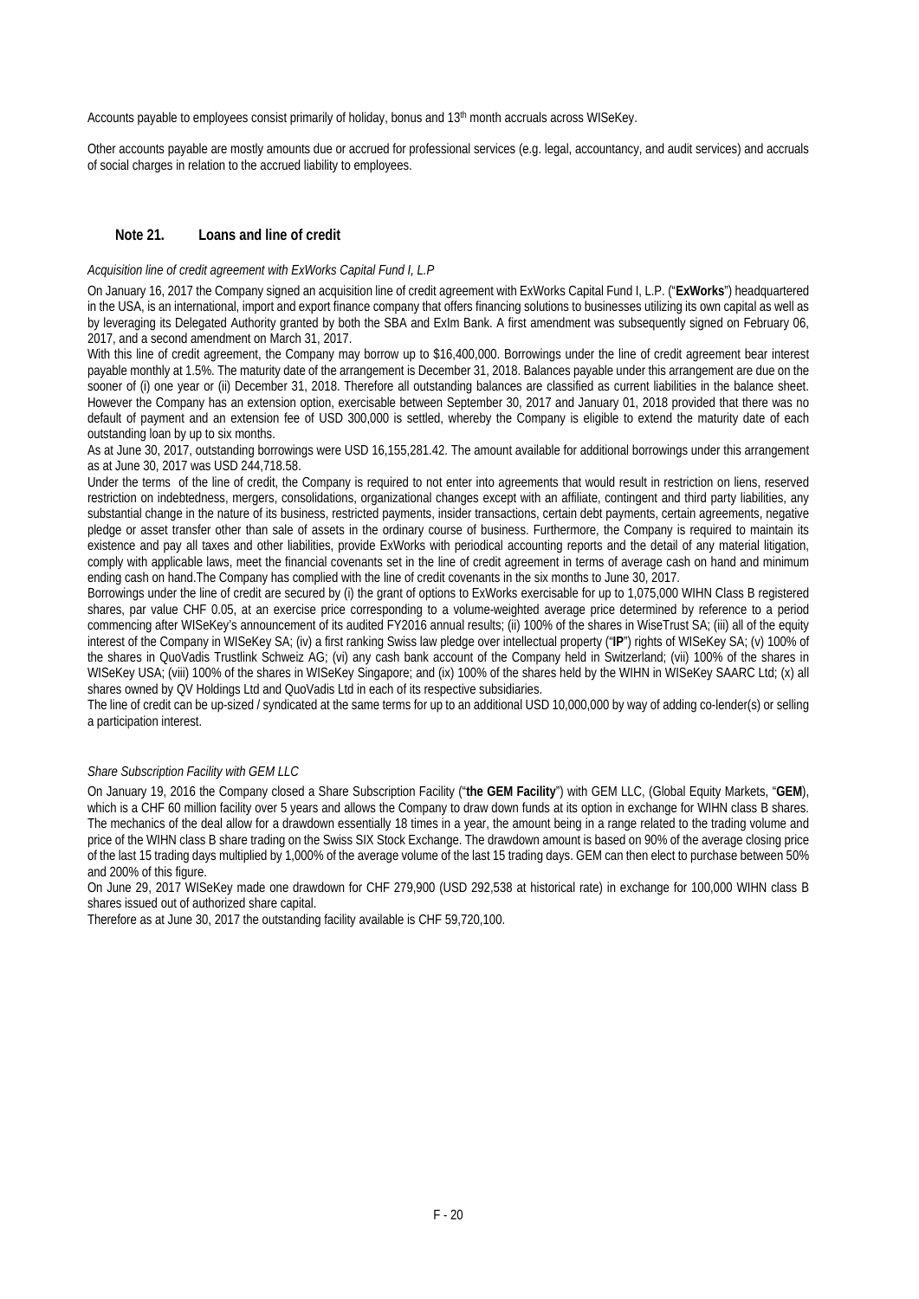Accounts payable to employees consist primarily of holiday, bonus and 13th month accruals across WISeKey.

Other accounts payable are mostly amounts due or accrued for professional services (e.g. legal, accountancy, and audit services) and accruals of social charges in relation to the accrued liability to employees.

#### **Note 21. Loans and line of credit**

#### *Acquisition line of credit agreement with ExWorks Capital Fund I, L.P*

On January 16, 2017 the Company signed an acquisition line of credit agreement with ExWorks Capital Fund I, L.P. ("**ExWorks**") headquartered in the USA, is an international, import and export finance company that offers financing solutions to businesses utilizing its own capital as well as by leveraging its Delegated Authority granted by both the SBA and ExIm Bank. A first amendment was subsequently signed on February 06, 2017, and a second amendment on March 31, 2017.

With this line of credit agreement, the Company may borrow up to \$16,400,000. Borrowings under the line of credit agreement bear interest payable monthly at 1.5%. The maturity date of the arrangement is December 31, 2018. Balances payable under this arrangement are due on the sooner of (i) one year or (ii) December 31, 2018. Therefore all outstanding balances are classified as current liabilities in the balance sheet. However the Company has an extension option, exercisable between September 30, 2017 and January 01, 2018 provided that there was no default of payment and an extension fee of USD 300,000 is settled, whereby the Company is eligible to extend the maturity date of each outstanding loan by up to six months.

As at June 30, 2017, outstanding borrowings were USD 16,155,281.42. The amount available for additional borrowings under this arrangement as at June 30, 2017 was USD 244,718.58.

Under the terms of the line of credit, the Company is required to not enter into agreements that would result in restriction on liens, reserved restriction on indebtedness, mergers, consolidations, organizational changes except with an affiliate, contingent and third party liabilities, any substantial change in the nature of its business, restricted payments, insider transactions, certain debt payments, certain agreements, negative pledge or asset transfer other than sale of assets in the ordinary course of business. Furthermore, the Company is required to maintain its existence and pay all taxes and other liabilities, provide ExWorks with periodical accounting reports and the detail of any material litigation, comply with applicable laws, meet the financial covenants set in the line of credit agreement in terms of average cash on hand and minimum ending cash on hand.The Company has complied with the line of credit covenants in the six months to June 30, 2017.

Borrowings under the line of credit are secured by (i) the grant of options to ExWorks exercisable for up to 1,075,000 WIHN Class B registered shares, par value CHF 0.05, at an exercise price corresponding to a volume-weighted average price determined by reference to a period commencing after WISeKey's announcement of its audited FY2016 annual results; (ii) 100% of the shares in WiseTrust SA; (iii) all of the equity interest of the Company in WISeKey SA; (iv) a first ranking Swiss law pledge over intellectual property ("**IP**") rights of WISeKey SA; (v) 100% of the shares in QuoVadis Trustlink Schweiz AG; (vi) any cash bank account of the Company held in Switzerland; (vii) 100% of the shares in WISeKey USA; (viii) 100% of the shares in WISeKey Singapore; and (ix) 100% of the shares held by the WIHN in WISeKey SAARC Ltd; (x) all shares owned by QV Holdings Ltd and QuoVadis Ltd in each of its respective subsidiaries.

The line of credit can be up-sized / syndicated at the same terms for up to an additional USD 10,000,000 by way of adding co-lender(s) or selling a participation interest.

#### *Share Subscription Facility with GEM LLC*

On January 19, 2016 the Company closed a Share Subscription Facility ("**the GEM Facility**") with GEM LLC, (Global Equity Markets, "**GEM**), which is a CHF 60 million facility over 5 years and allows the Company to draw down funds at its option in exchange for WIHN class B shares. The mechanics of the deal allow for a drawdown essentially 18 times in a year, the amount being in a range related to the trading volume and price of the WIHN class B share trading on the Swiss SIX Stock Exchange. The drawdown amount is based on 90% of the average closing price of the last 15 trading days multiplied by 1,000% of the average volume of the last 15 trading days. GEM can then elect to purchase between 50% and 200% of this figure.

On June 29, 2017 WISeKey made one drawdown for CHF 279,900 (USD 292,538 at historical rate) in exchange for 100,000 WIHN class B shares issued out of authorized share capital.

Therefore as at June 30, 2017 the outstanding facility available is CHF 59,720,100.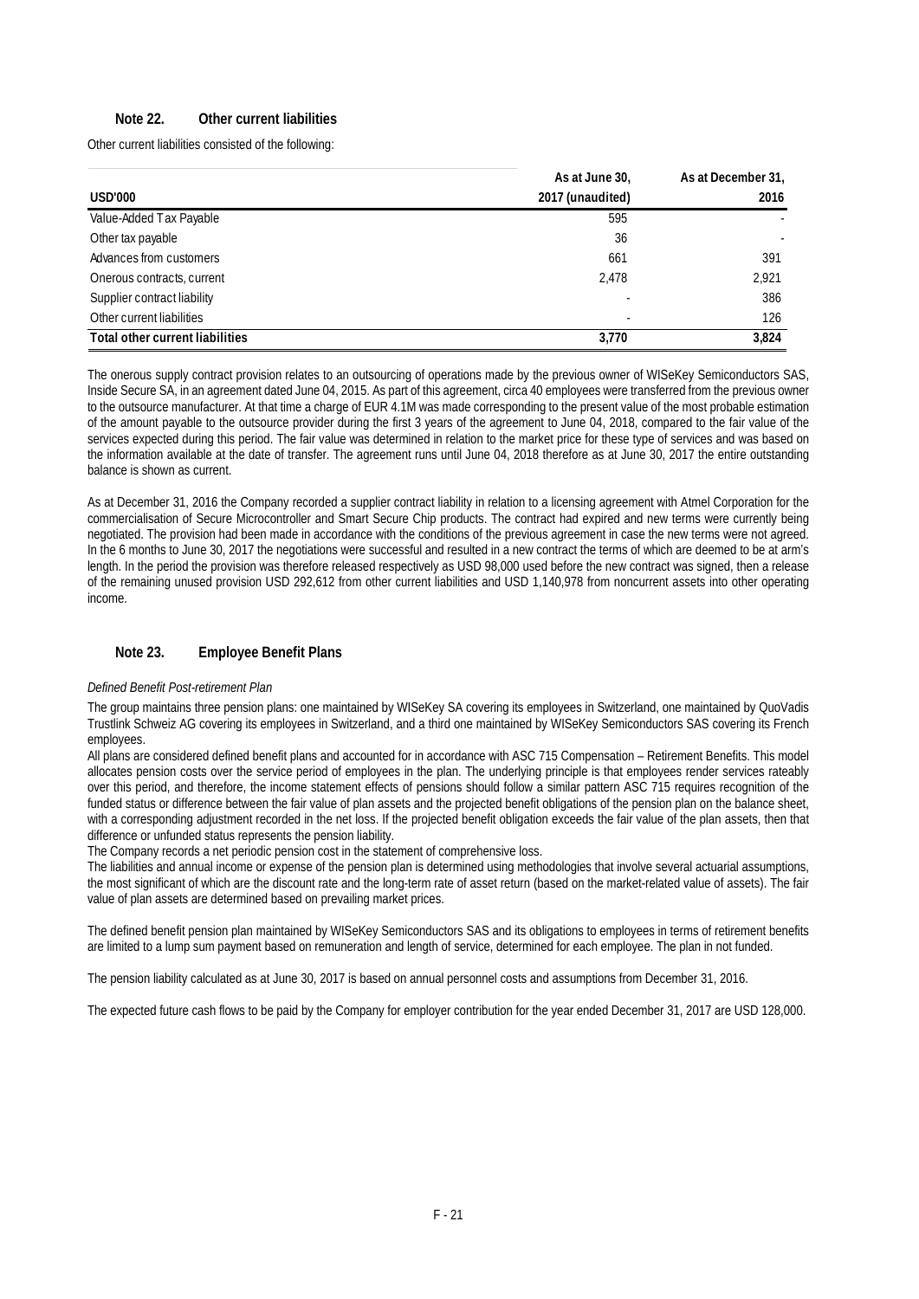#### **Note 22. Other current liabilities**

Other current liabilities consisted of the following:

|                                        | As at June 30,   | As at December 31, |
|----------------------------------------|------------------|--------------------|
| <b>USD'000</b>                         | 2017 (unaudited) | 2016               |
| Value-Added Tax Payable                | 595              |                    |
| Other tax payable                      | 36               |                    |
| Advances from customers                | 661              | 391                |
| Onerous contracts, current             | 2.478            | 2.921              |
| Supplier contract liability            |                  | 386                |
| Other current liabilities              |                  | 126                |
| <b>Total other current liabilities</b> | 3.770            | 3.824              |

The onerous supply contract provision relates to an outsourcing of operations made by the previous owner of WISeKey Semiconductors SAS, Inside Secure SA, in an agreement dated June 04, 2015. As part of this agreement, circa 40 employees were transferred from the previous owner to the outsource manufacturer. At that time a charge of EUR 4.1M was made corresponding to the present value of the most probable estimation of the amount payable to the outsource provider during the first 3 years of the agreement to June 04, 2018, compared to the fair value of the services expected during this period. The fair value was determined in relation to the market price for these type of services and was based on the information available at the date of transfer. The agreement runs until June 04, 2018 therefore as at June 30, 2017 the entire outstanding balance is shown as current.

As at December 31, 2016 the Company recorded a supplier contract liability in relation to a licensing agreement with Atmel Corporation for the commercialisation of Secure Microcontroller and Smart Secure Chip products. The contract had expired and new terms were currently being negotiated. The provision had been made in accordance with the conditions of the previous agreement in case the new terms were not agreed. In the 6 months to June 30, 2017 the negotiations were successful and resulted in a new contract the terms of which are deemed to be at arm's length. In the period the provision was therefore released respectively as USD 98,000 used before the new contract was signed, then a release of the remaining unused provision USD 292,612 from other current liabilities and USD 1,140,978 from noncurrent assets into other operating income.

#### **Note 23. Employee Benefit Plans**

#### *Defined Benefit Post-retirement Plan*

The group maintains three pension plans: one maintained by WISeKey SA covering its employees in Switzerland, one maintained by QuoVadis Trustlink Schweiz AG covering its employees in Switzerland, and a third one maintained by WISeKey Semiconductors SAS covering its French employees.

All plans are considered defined benefit plans and accounted for in accordance with ASC 715 Compensation – Retirement Benefits. This model allocates pension costs over the service period of employees in the plan. The underlying principle is that employees render services rateably over this period, and therefore, the income statement effects of pensions should follow a similar pattern ASC 715 requires recognition of the funded status or difference between the fair value of plan assets and the projected benefit obligations of the pension plan on the balance sheet, with a corresponding adjustment recorded in the net loss. If the projected benefit obligation exceeds the fair value of the plan assets, then that difference or unfunded status represents the pension liability.

The Company records a net periodic pension cost in the statement of comprehensive loss.

The liabilities and annual income or expense of the pension plan is determined using methodologies that involve several actuarial assumptions, the most significant of which are the discount rate and the long-term rate of asset return (based on the market-related value of assets). The fair value of plan assets are determined based on prevailing market prices.

The defined benefit pension plan maintained by WISeKey Semiconductors SAS and its obligations to employees in terms of retirement benefits are limited to a lump sum payment based on remuneration and length of service, determined for each employee. The plan in not funded.

The pension liability calculated as at June 30, 2017 is based on annual personnel costs and assumptions from December 31, 2016.

The expected future cash flows to be paid by the Company for employer contribution for the year ended December 31, 2017 are USD 128,000.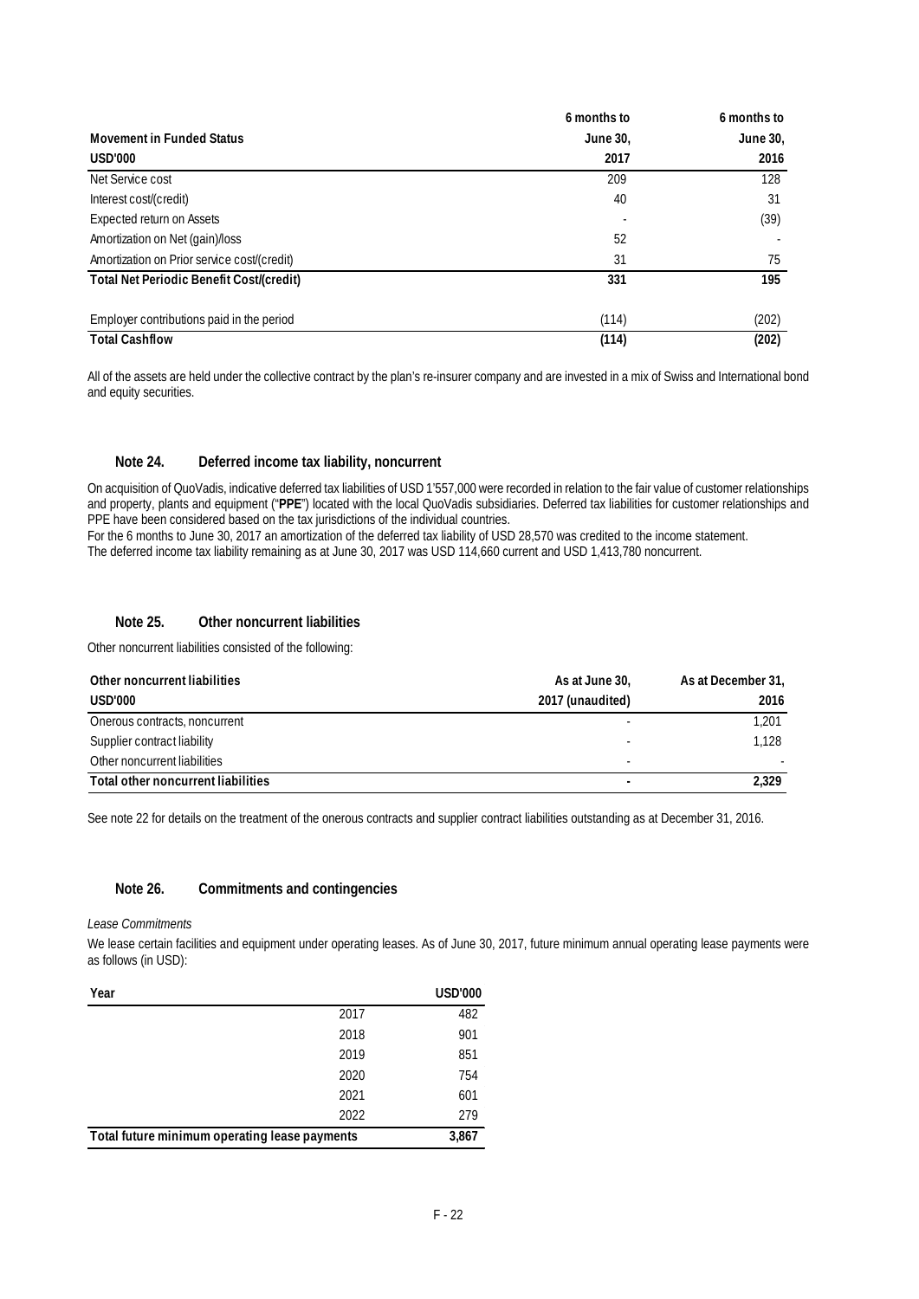|                                             | 6 months to | 6 months to |
|---------------------------------------------|-------------|-------------|
| <b>Movement in Funded Status</b>            | June 30,    | June 30,    |
| <b>USD'000</b>                              | 2017        | 2016        |
| Net Service cost                            | 209         | 128         |
| Interest cost/(credit)                      | 40          | 31          |
| Expected return on Assets                   |             | (39)        |
| Amortization on Net (gain)/loss             | 52          |             |
| Amortization on Prior service cost/(credit) | 31          | 75          |
| Total Net Periodic Benefit Cost/(credit)    | 331         | 195         |
| Employer contributions paid in the period   | (114)       | (202)       |
| <b>Total Cashflow</b>                       | (114)       | (202)       |

All of the assets are held under the collective contract by the plan's re-insurer company and are invested in a mix of Swiss and International bond and equity securities.

#### **Note 24. Deferred income tax liability, noncurrent**

On acquisition of QuoVadis, indicative deferred tax liabilities of USD 1'557,000 were recorded in relation to the fair value of customer relationships and property, plants and equipment ("**PPE**") located with the local QuoVadis subsidiaries. Deferred tax liabilities for customer relationships and PPE have been considered based on the tax jurisdictions of the individual countries.

For the 6 months to June 30, 2017 an amortization of the deferred tax liability of USD 28,570 was credited to the income statement. The deferred income tax liability remaining as at June 30, 2017 was USD 114,660 current and USD 1,413,780 noncurrent.

#### **Note 25. Other noncurrent liabilities**

Other noncurrent liabilities consisted of the following:

| Other noncurrent liabilities       | As at June 30,   | As at December 31, |
|------------------------------------|------------------|--------------------|
| USD'000                            | 2017 (unaudited) | 2016               |
| Onerous contracts, noncurrent      |                  | 1.201              |
| Supplier contract liability        |                  | 1.128              |
| Other noncurrent liabilities       |                  |                    |
| Total other noncurrent liabilities |                  | 2.329              |

See note 22 for details on the treatment of the onerous contracts and supplier contract liabilities outstanding as at December 31, 2016.

#### **Note 26. Commitments and contingencies**

*Lease Commitments* 

We lease certain facilities and equipment under operating leases. As of June 30, 2017, future minimum annual operating lease payments were as follows (in USD):

| Year                                          |      | <b>USD'000</b> |
|-----------------------------------------------|------|----------------|
|                                               | 2017 | 482            |
|                                               | 2018 | 901            |
|                                               | 2019 | 851            |
|                                               | 2020 | 754            |
|                                               | 2021 | 601            |
|                                               | 2022 | 279            |
| Total future minimum operating lease payments |      | 3,867          |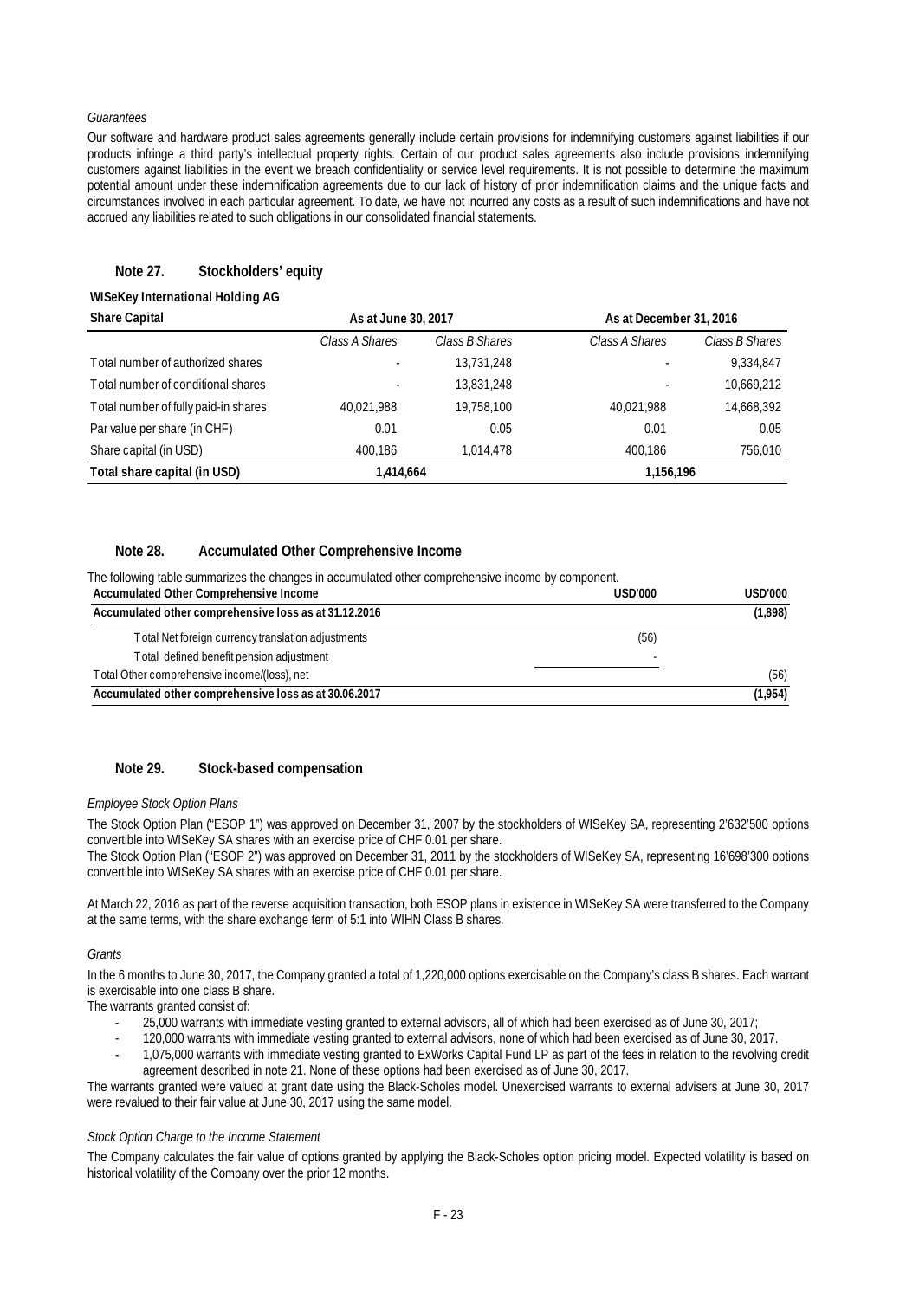#### *Guarantees*

Our software and hardware product sales agreements generally include certain provisions for indemnifying customers against liabilities if our products infringe a third party's intellectual property rights. Certain of our product sales agreements also include provisions indemnifying customers against liabilities in the event we breach confidentiality or service level requirements. It is not possible to determine the maximum potential amount under these indemnification agreements due to our lack of history of prior indemnification claims and the unique facts and circumstances involved in each particular agreement. To date, we have not incurred any costs as a result of such indemnifications and have not accrued any liabilities related to such obligations in our consolidated financial statements.

#### **Note 27. Stockholders' equity**

#### **WISeKey International Holding AG**

| <b>Share Capital</b>                 | As at June 30, 2017 |                | As at December 31, 2016 |                |
|--------------------------------------|---------------------|----------------|-------------------------|----------------|
|                                      | Class A Shares      | Class B Shares | Class A Shares          | Class B Shares |
| Total number of authorized shares    |                     | 13,731,248     |                         | 9,334,847      |
| Total number of conditional shares   |                     | 13,831,248     |                         | 10,669,212     |
| Total number of fully paid-in shares | 40,021,988          | 19,758,100     | 40.021.988              | 14,668,392     |
| Par value per share (in CHF)         | 0.01                | 0.05           | 0.01                    | 0.05           |
| Share capital (in USD)               | 400.186             | 1,014,478      | 400.186                 | 756,010        |
| Total share capital (in USD)         | 1,414,664           |                | 1,156,196               |                |

#### **Note 28. Accumulated Other Comprehensive Income**

The following table summarizes the changes in accumulated other comprehensive income by component.

| Accumulated Other Comprehensive Income                | USD'000 | USD'000 |
|-------------------------------------------------------|---------|---------|
| Accumulated other comprehensive loss as at 31.12.2016 |         | (1,898) |
| Total Net foreign currency translation adjustments    | (56)    |         |
| Total defined benefit pension adjustment              |         |         |
| Total Other comprehensive income/(loss), net          |         | (56)    |
| Accumulated other comprehensive loss as at 30.06.2017 |         | (1,954) |

### **Note 29. Stock-based compensation**

#### *Employee Stock Option Plans*

The Stock Option Plan ("ESOP 1") was approved on December 31, 2007 by the stockholders of WISeKey SA, representing 2'632'500 options convertible into WISeKey SA shares with an exercise price of CHF 0.01 per share.

The Stock Option Plan ("ESOP 2") was approved on December 31, 2011 by the stockholders of WISeKey SA, representing 16'698'300 options convertible into WISeKey SA shares with an exercise price of CHF 0.01 per share.

At March 22, 2016 as part of the reverse acquisition transaction, both ESOP plans in existence in WISeKey SA were transferred to the Company at the same terms, with the share exchange term of 5:1 into WIHN Class B shares.

#### *Grants*

In the 6 months to June 30, 2017, the Company granted a total of 1,220,000 options exercisable on the Company's class B shares. Each warrant is exercisable into one class B share.

The warrants granted consist of:

- 25,000 warrants with immediate vesting granted to external advisors, all of which had been exercised as of June 30, 2017;
- 120,000 warrants with immediate vesting granted to external advisors, none of which had been exercised as of June 30, 2017.
- 1,075,000 warrants with immediate vesting granted to ExWorks Capital Fund LP as part of the fees in relation to the revolving credit agreement described in note 21. None of these options had been exercised as of June 30, 2017.

The warrants granted were valued at grant date using the Black-Scholes model. Unexercised warrants to external advisers at June 30, 2017 were revalued to their fair value at June 30, 2017 using the same model.

#### *Stock Option Charge to the Income Statement*

The Company calculates the fair value of options granted by applying the Black-Scholes option pricing model. Expected volatility is based on historical volatility of the Company over the prior 12 months.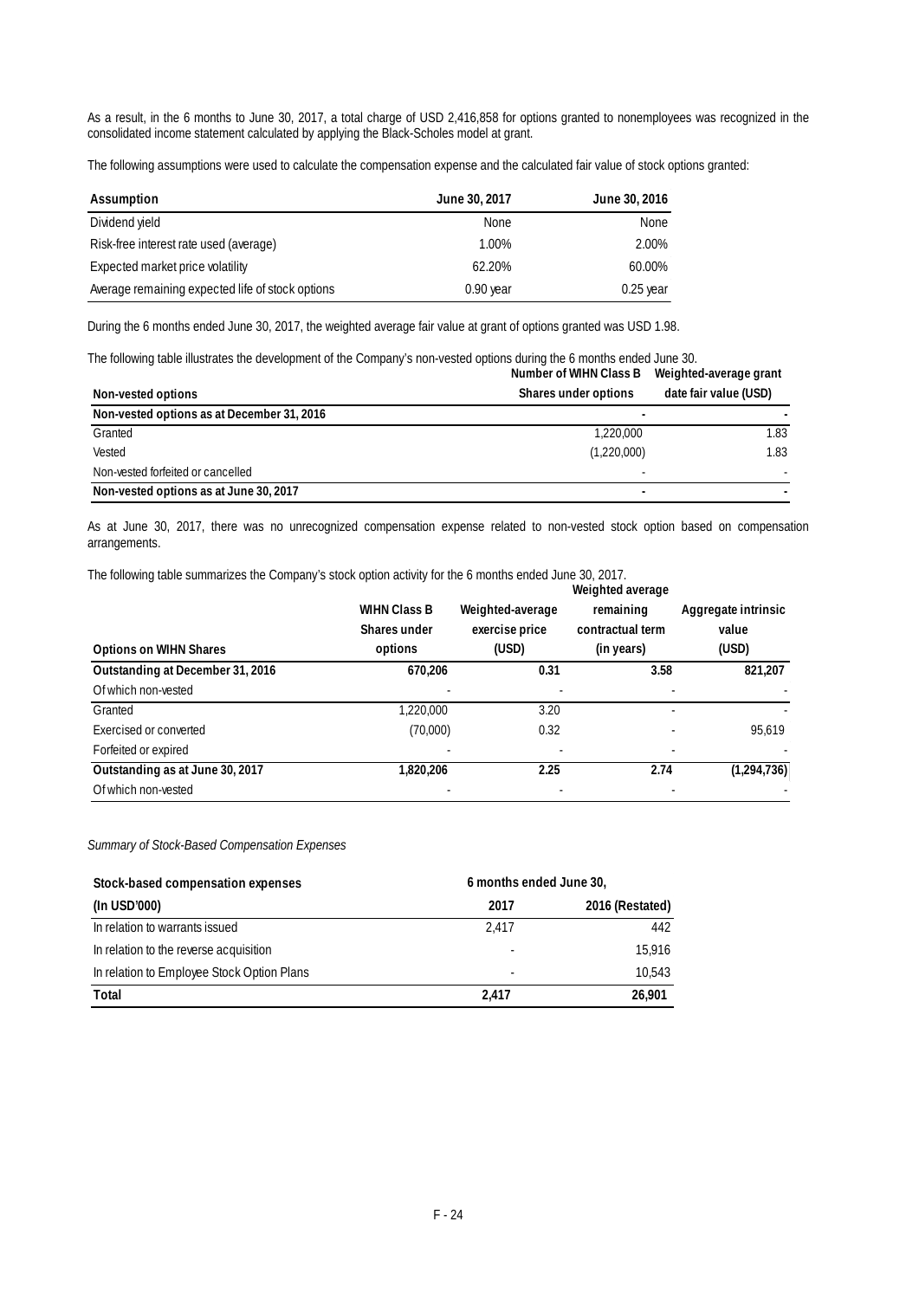As a result, in the 6 months to June 30, 2017, a total charge of USD 2,416,858 for options granted to nonemployees was recognized in the consolidated income statement calculated by applying the Black-Scholes model at grant.

The following assumptions were used to calculate the compensation expense and the calculated fair value of stock options granted:

| Assumption                                       | June 30, 2017 | June 30, 2016 |
|--------------------------------------------------|---------------|---------------|
| Dividend yield                                   | <b>None</b>   | None          |
| Risk-free interest rate used (average)           | 1.00%         | 2.00%         |
| Expected market price volatility                 | 62.20%        | 60.00%        |
| Average remaining expected life of stock options | $0.90$ year   | $0.25$ year   |

During the 6 months ended June 30, 2017, the weighted average fair value at grant of options granted was USD 1.98.

The following table illustrates the development of the Company's non-vested options during the 6 months ended June 30.

|                                            | Number of WIHN Class B | Weighted-average grant |
|--------------------------------------------|------------------------|------------------------|
| Non-vested options                         | Shares under options   | date fair value (USD)  |
| Non-vested options as at December 31, 2016 |                        |                        |
| Granted                                    | 1,220,000              | 1.83                   |
| Vested                                     | (1,220,000)            | 1.83                   |
| Non-vested forfeited or cancelled          |                        |                        |
| Non-vested options as at June 30, 2017     |                        |                        |

As at June 30, 2017, there was no unrecognized compensation expense related to non-vested stock option based on compensation arrangements.

The following table summarizes the Company's stock option activity for the 6 months ended June 30, 2017.

| <b>Options on WIHN Shares</b>    | <b>WIHN Class B</b><br>Shares under<br>options | Weighted-average<br>exercise price<br>(USD) | Weighted average<br>remaining<br>contractual term<br>(in years) | Aggregate intrinsic<br>value<br>(USD) |
|----------------------------------|------------------------------------------------|---------------------------------------------|-----------------------------------------------------------------|---------------------------------------|
| Outstanding at December 31, 2016 | 670.206                                        | 0.31                                        | 3.58                                                            | 821,207                               |
| Of which non-vested              |                                                |                                             |                                                                 |                                       |
| Granted                          | 1,220,000                                      | 3.20                                        |                                                                 |                                       |
| Exercised or converted           | (70,000)                                       | 0.32                                        |                                                                 | 95.619                                |
| Forfeited or expired             |                                                |                                             |                                                                 |                                       |
| Outstanding as at June 30, 2017  | 1,820,206                                      | 2.25                                        | 2.74                                                            | (1,294,736)                           |
| Of which non-vested              |                                                |                                             |                                                                 |                                       |

#### *Summary of Stock-Based Compensation Expenses*

| Stock-based compensation expenses          | 6 months ended June 30,  |                 |
|--------------------------------------------|--------------------------|-----------------|
| (In USD'000)                               | 2017                     | 2016 (Restated) |
| In relation to warrants issued             | 2.417                    | 442             |
| In relation to the reverse acquisition     |                          | 15,916          |
| In relation to Employee Stock Option Plans | $\overline{\phantom{a}}$ | 10.543          |
| Total                                      | 2.417                    | 26,901          |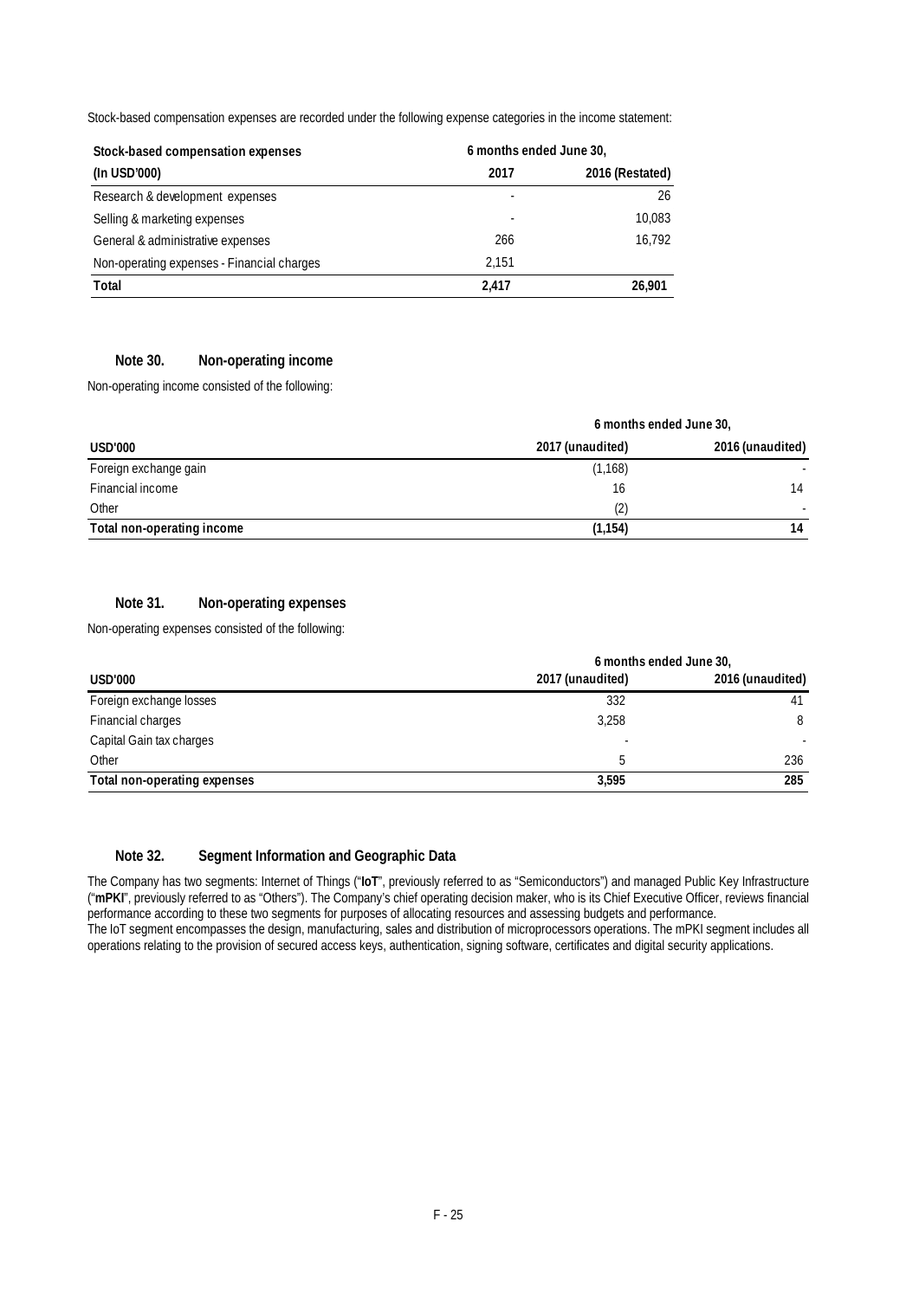Stock-based compensation expenses are recorded under the following expense categories in the income statement:

| Stock-based compensation expenses          | 6 months ended June 30, |                 |
|--------------------------------------------|-------------------------|-----------------|
| (In USD'000)                               | 2017                    | 2016 (Restated) |
| Research & development expenses            |                         | 26              |
| Selling & marketing expenses               |                         | 10,083          |
| General & administrative expenses          | 266                     | 16,792          |
| Non-operating expenses - Financial charges | 2.151                   |                 |
| Total                                      | 2.417                   | 26.901          |

#### **Note 30. Non-operating income**

Non-operating income consisted of the following:

|                            | 6 months ended June 30, |                  |  |
|----------------------------|-------------------------|------------------|--|
| USD'000                    | 2017 (unaudited)        | 2016 (unaudited) |  |
| Foreign exchange gain      | (1, 168)                |                  |  |
| Financial income           | 16                      | 14               |  |
| Other                      | (2)                     |                  |  |
| Total non-operating income | (1, 154)                | 14               |  |

## **Note 31. Non-operating expenses**

Non-operating expenses consisted of the following:

|                              | 6 months ended June 30, |                  |  |
|------------------------------|-------------------------|------------------|--|
| USD'000                      | 2017 (unaudited)        | 2016 (unaudited) |  |
| Foreign exchange losses      | 332                     |                  |  |
| Financial charges            | 3,258                   | 8                |  |
| Capital Gain tax charges     |                         |                  |  |
| Other                        |                         | 236              |  |
| Total non-operating expenses | 3.595                   | 285              |  |

#### **Note 32. Segment Information and Geographic Data**

The Company has two segments: Internet of Things ("**IoT**", previously referred to as "Semiconductors") and managed Public Key Infrastructure ("**mPKI**", previously referred to as "Others"). The Company's chief operating decision maker, who is its Chief Executive Officer, reviews financial performance according to these two segments for purposes of allocating resources and assessing budgets and performance.

The IoT segment encompasses the design, manufacturing, sales and distribution of microprocessors operations. The mPKI segment includes all operations relating to the provision of secured access keys, authentication, signing software, certificates and digital security applications.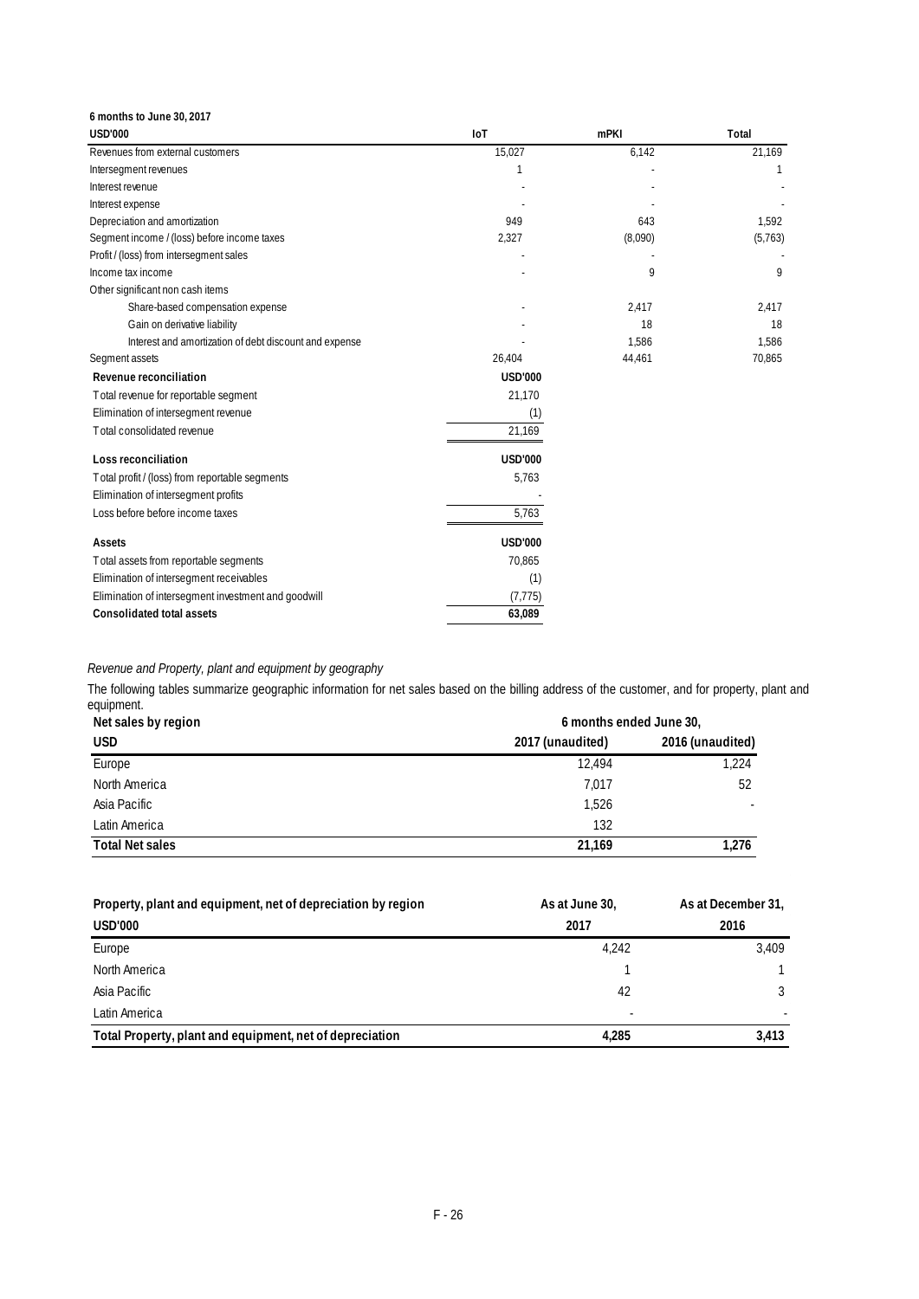| 6 months to June 30, 2017                              |                |             |         |
|--------------------------------------------------------|----------------|-------------|---------|
| <b>USD'000</b>                                         | <b>IoT</b>     | <b>mPKI</b> | Total   |
| Revenues from external customers                       | 15,027         | 6,142       | 21,169  |
| Intersegment revenues                                  |                |             |         |
| Interest revenue                                       |                |             |         |
| Interest expense                                       |                |             |         |
| Depreciation and amortization                          | 949            | 643         | 1,592   |
| Segment income / (loss) before income taxes            | 2,327          | (8,090)     | (5,763) |
| Profit / (loss) from intersegment sales                |                |             |         |
| Income tax income                                      |                | 9           | 9       |
| Other significant non cash items                       |                |             |         |
| Share-based compensation expense                       |                | 2,417       | 2,417   |
| Gain on derivative liability                           |                | 18          | 18      |
| Interest and amortization of debt discount and expense |                | 1,586       | 1,586   |
| Segment assets                                         | 26,404         | 44,461      | 70,865  |
| Revenue reconciliation                                 | <b>USD'000</b> |             |         |
| Total revenue for reportable segment                   | 21,170         |             |         |
| Elimination of intersegment revenue                    | (1)            |             |         |
| Total consolidated revenue                             | 21,169         |             |         |
| Loss reconciliation                                    | <b>USD'000</b> |             |         |
| Total profit / (loss) from reportable segments         | 5,763          |             |         |
| Elimination of intersegment profits                    |                |             |         |
| Loss before before income taxes                        | 5,763          |             |         |
| Assets                                                 | <b>USD'000</b> |             |         |
| Total assets from reportable segments                  | 70,865         |             |         |
| Elimination of intersegment receivables                | (1)            |             |         |
| Elimination of intersegment investment and goodwill    | (7, 775)       |             |         |
| <b>Consolidated total assets</b>                       | 63,089         |             |         |

## *Revenue and Property, plant and equipment by geography*

The following tables summarize geographic information for net sales based on the billing address of the customer, and for property, plant and equipment.

| Net sales by region    | 6 months ended June 30, |                          |
|------------------------|-------------------------|--------------------------|
| <b>USD</b>             | 2017 (unaudited)        | 2016 (unaudited)         |
| Europe                 | 12.494                  | 1.224                    |
| North America          | 7,017                   | 52                       |
| Asia Pacific           | 1,526                   | $\overline{\phantom{a}}$ |
| Latin America          | 132                     |                          |
| <b>Total Net sales</b> | 21.169                  | 1,276                    |

| Property, plant and equipment, net of depreciation by region | As at June 30, | As at December 31, |  |  |
|--------------------------------------------------------------|----------------|--------------------|--|--|
| <b>USD'000</b>                                               | 2017           | 2016               |  |  |
| Europe                                                       | 4.242          | 3.409              |  |  |
| North America                                                |                |                    |  |  |
| Asia Pacific                                                 | 42             |                    |  |  |
| Latin America                                                | ٠              |                    |  |  |
| Total Property, plant and equipment, net of depreciation     | 4.285          | 3.413              |  |  |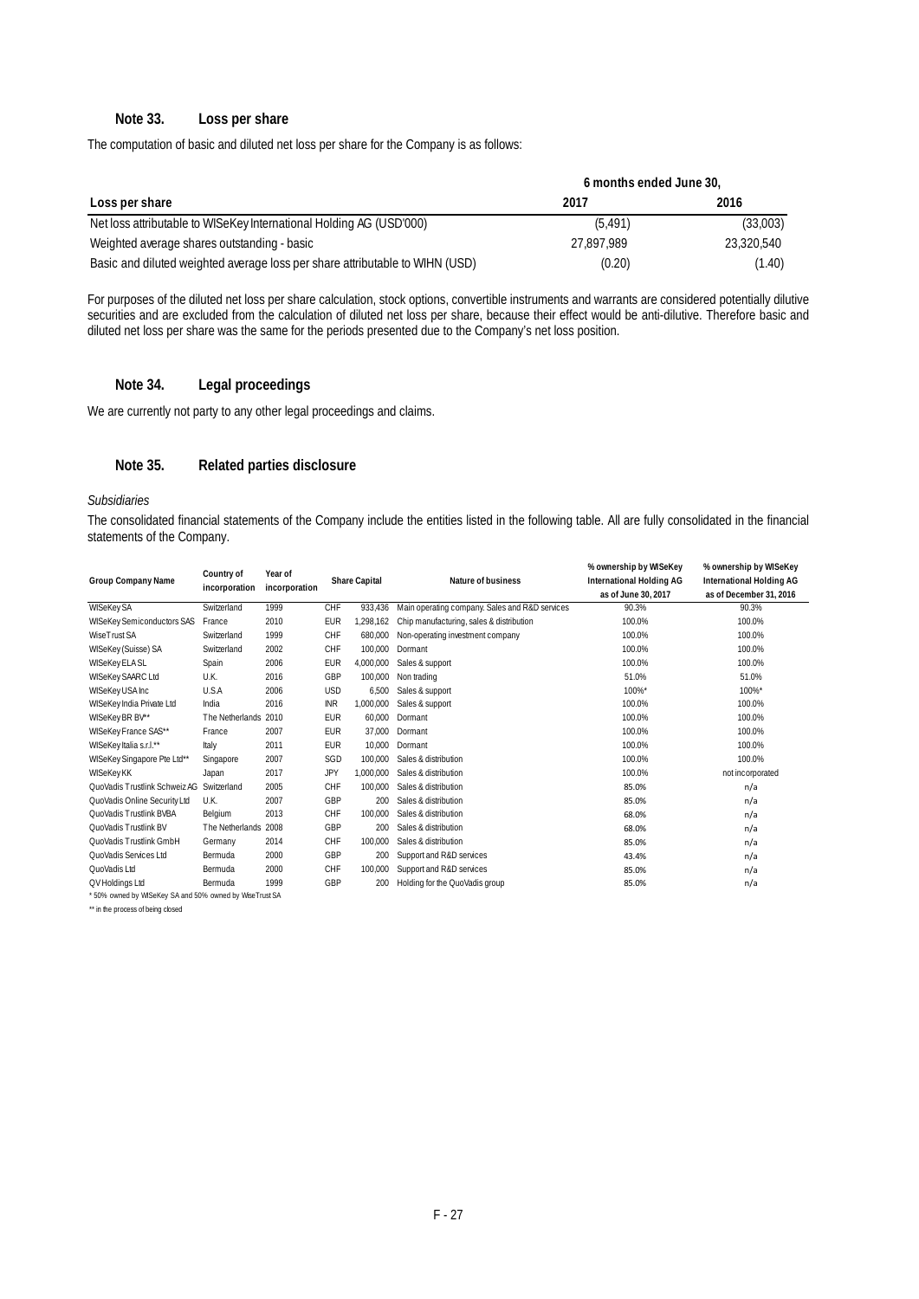#### **Note 33. Loss per share**

The computation of basic and diluted net loss per share for the Company is as follows:

|                                                                              | 6 months ended June 30, |            |  |  |
|------------------------------------------------------------------------------|-------------------------|------------|--|--|
| Loss per share                                                               | 2017                    | 2016       |  |  |
| Net loss attributable to WISeKey International Holding AG (USD'000)          | (5.491)                 | (33,003)   |  |  |
| Weighted average shares outstanding - basic                                  | 27.897.989              | 23,320,540 |  |  |
| Basic and diluted weighted average loss per share attributable to WIHN (USD) | (0.20)                  | (1.40)     |  |  |

For purposes of the diluted net loss per share calculation, stock options, convertible instruments and warrants are considered potentially dilutive securities and are excluded from the calculation of diluted net loss per share, because their effect would be anti-dilutive. Therefore basic and diluted net loss per share was the same for the periods presented due to the Company's net loss position.

#### **Note 34. Legal proceedings**

We are currently not party to any other legal proceedings and claims.

#### **Note 35. Related parties disclosure**

#### *Subsidiaries*

The consolidated financial statements of the Company include the entities listed in the following table. All are fully consolidated in the financial statements of the Company.

| Group Company Name                                    | Country of<br>incorporation | Year of<br>incorporation |            | <b>Share Capital</b> | <b>Nature of business</b>                      | % ownership by WISeKey<br>International Holding AG<br>as of June 30, 2017 | % ownership by WISeKey<br>International Holding AG<br>as of December 31, 2016 |  |
|-------------------------------------------------------|-----------------------------|--------------------------|------------|----------------------|------------------------------------------------|---------------------------------------------------------------------------|-------------------------------------------------------------------------------|--|
| <b>WISeKeySA</b>                                      | Switzerland                 | 1999                     | CHF        | 933,436              | Main operating company. Sales and R&D services | 90.3%                                                                     | 90.3%                                                                         |  |
| <b>WISeKey Semiconductors SAS</b>                     | France                      | 2010                     | <b>EUR</b> | 1.298.162            | Chip manufacturing, sales & distribution       | 100.0%                                                                    | 100.0%                                                                        |  |
| WiseTrust SA                                          | Switzerland                 | 1999                     | CHF        | 680,000              | Non-operating investment company               | 100.0%                                                                    | 100.0%                                                                        |  |
| WISeKey (Suisse) SA                                   | Switzerland                 | 2002                     | CHF        | 100.000              | Dormant                                        | 100.0%                                                                    | 100.0%                                                                        |  |
| <b>WISeKey ELA SL</b>                                 | Spain                       | 2006                     | EUR        | 4,000,000            | Sales & support                                | 100.0%                                                                    | 100.0%                                                                        |  |
| <b>WISeKey SAARC Ltd</b>                              | U.K.                        | 2016                     | GBP        | 100,000              | Non trading                                    | 51.0%                                                                     | 51.0%                                                                         |  |
| WISeKey USA Inc                                       | U.S.A                       | 2006                     | <b>USD</b> | 6.500                | Sales & support                                | 100%*                                                                     | 100%*                                                                         |  |
| WISeKey India Private Ltd                             | India                       | 2016                     | <b>INR</b> | 1,000,000            | Sales & support                                | 100.0%                                                                    | 100.0%                                                                        |  |
| WISeKey BR BV**                                       | The Netherlands             | 2010                     | <b>EUR</b> | 60.000               | Dormant                                        | 100.0%                                                                    | 100.0%                                                                        |  |
| WISeKey France SAS**                                  | France                      | 2007                     | <b>EUR</b> | 37.000               | Dormant                                        | 100.0%                                                                    | 100.0%                                                                        |  |
| WISeKey Italia s.r.l.**                               | Italy                       | 2011                     | <b>EUR</b> | 10,000               | Dormant                                        | 100.0%                                                                    | 100.0%                                                                        |  |
| WISeKey Singapore Pte Ltd**                           | Singapore                   | 2007                     | SGD        | 100.000              | Sales & distribution                           | 100.0%                                                                    | 100.0%                                                                        |  |
| <b>WISeKeyKK</b>                                      | Japan                       | 2017                     | <b>JPY</b> | 1.000.000            | Sales & distribution                           | 100.0%                                                                    | not incorporated                                                              |  |
| QuoVadis Trustlink Schweiz AG Switzerland             |                             | 2005                     | CHF        | 100,000              | Sales & distribution                           | 85.0%                                                                     | n/a                                                                           |  |
| QuoVadis Online Security Ltd                          | U.K.                        | 2007                     | GBP        | 200                  | Sales & distribution                           | 85.0%                                                                     | n/a                                                                           |  |
| QuoVadis Trustlink BVBA                               | Belgium                     | 2013                     | CHF        | 100,000              | Sales & distribution                           | 68.0%                                                                     | n/a                                                                           |  |
| <b>OuoVadis Trustlink BV</b>                          | The Netherlands 2008        |                          | GBP        | 200                  | Sales & distribution                           | 68.0%                                                                     | n/a                                                                           |  |
| <b>OuoVadis Trustlink GmbH</b>                        | Germany                     | 2014                     | CHF        | 100.000              | Sales & distribution                           | 85.0%                                                                     | n/a                                                                           |  |
| QuoVadis Services Ltd                                 | Bermuda                     | 2000                     | GBP        | 200                  | Support and R&D services                       | 43.4%                                                                     | n/a                                                                           |  |
| QuoVadis Ltd                                          | Bermuda                     | 2000                     | CHF        | 100.000              | Support and R&D services                       | 85.0%                                                                     | n/a                                                                           |  |
| QV Holdings Ltd                                       | Bermuda                     | 1999                     | GBP        | 200                  | Holding for the QuoVadis group                 | 85.0%                                                                     | n/a                                                                           |  |
| 50% owned by WISeKey SA and 50% owned by WiseTrust SA |                             |                          |            |                      |                                                |                                                                           |                                                                               |  |

\*\* in the process of being closed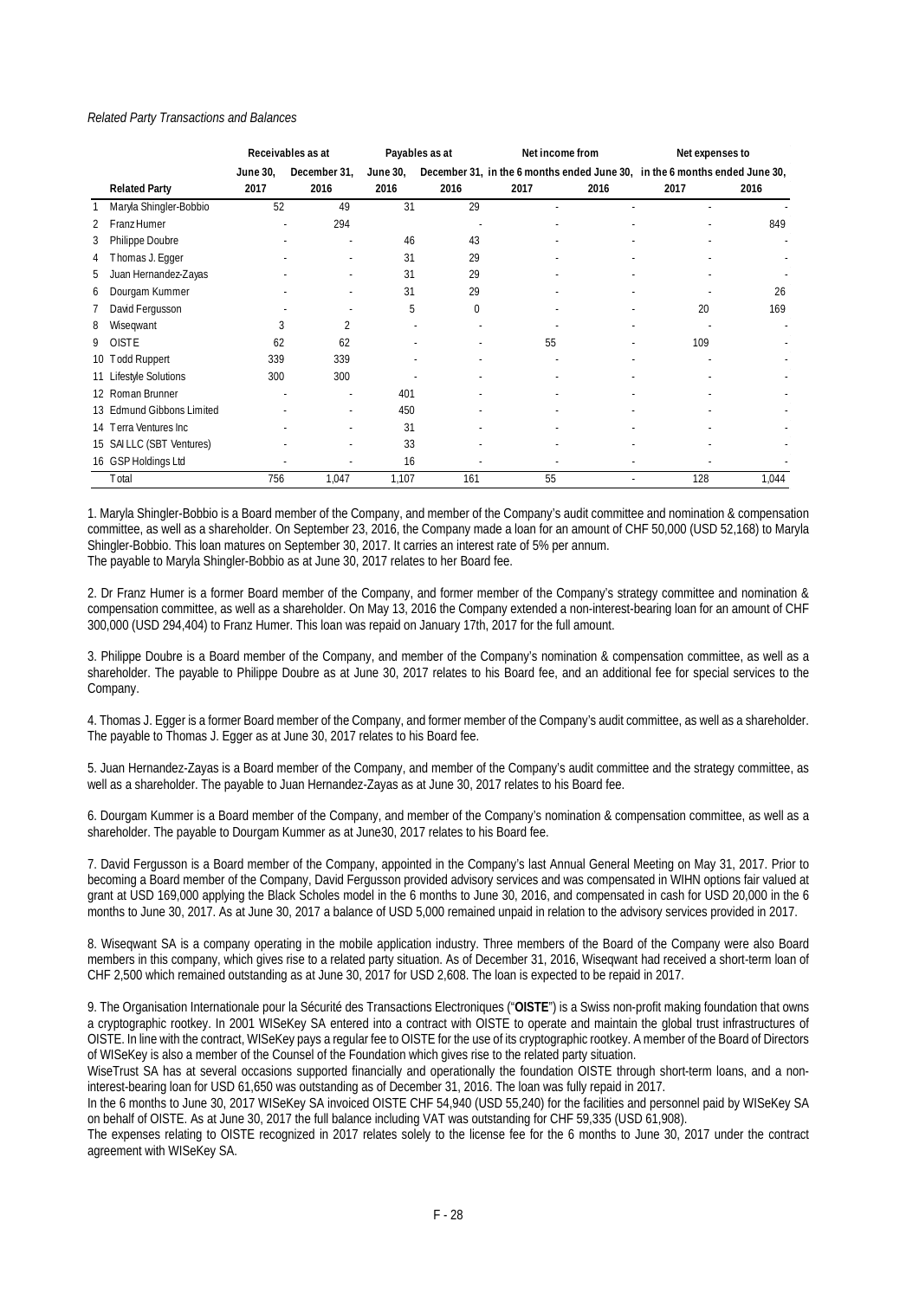#### *Related Party Transactions and Balances*

|   |                           | Receivables as at |              | Payables as at |      | Net income from |      | Net expenses to |                                                                            |  |
|---|---------------------------|-------------------|--------------|----------------|------|-----------------|------|-----------------|----------------------------------------------------------------------------|--|
|   |                           | June 30,          | December 31, | June 30,       |      |                 |      |                 | December 31, in the 6 months ended June 30, in the 6 months ended June 30, |  |
|   | <b>Related Party</b>      | 2017              | 2016         | 2016           | 2016 | 2017            | 2016 | 2017            | 2016                                                                       |  |
|   | Maryla Shingler-Bobbio    | 52                | 49           | 31             | 29   |                 |      |                 |                                                                            |  |
|   | Franz Humer               |                   | 294          |                |      |                 |      |                 | 849                                                                        |  |
| 3 | Philippe Doubre           |                   |              | 46             | 43   |                 |      |                 |                                                                            |  |
| 4 | Thomas J. Egger           |                   |              | 31             | 29   |                 |      |                 |                                                                            |  |
| 5 | Juan Hernandez-Zayas      |                   |              | 31             | 29   |                 |      |                 |                                                                            |  |
| 6 | Dourgam Kummer            |                   |              | 31             | 29   |                 |      |                 | 26                                                                         |  |
|   | David Fergusson           |                   |              | 5              | 0    |                 |      | 20              | 169                                                                        |  |
| 8 | Wiseqwant                 | 3                 | 2            |                |      |                 |      |                 |                                                                            |  |
| 9 | <b>OISTE</b>              | 62                | 62           |                |      | 55              |      | 109             |                                                                            |  |
|   | 10 Todd Ruppert           | 339               | 339          |                |      |                 |      |                 |                                                                            |  |
|   | 11 Lifestyle Solutions    | 300               | 300          |                |      |                 |      |                 |                                                                            |  |
|   | 12 Roman Brunner          |                   |              | 401            |      |                 |      |                 |                                                                            |  |
|   | 13 Edmund Gibbons Limited |                   |              | 450            |      |                 |      |                 |                                                                            |  |
|   | 14 Terra Ventures Inc     |                   |              | 31             |      |                 |      |                 |                                                                            |  |
|   | 15 SAILLC (SBT Ventures)  |                   |              | 33             |      |                 |      |                 |                                                                            |  |
|   | 16 GSP Holdings Ltd       |                   |              | 16             |      |                 |      |                 |                                                                            |  |
|   | Total                     | 756               | 1,047        | 1,107          | 161  | 55              | ٠    | 128             | 1,044                                                                      |  |

1. Maryla Shingler-Bobbio is a Board member of the Company, and member of the Company's audit committee and nomination & compensation committee, as well as a shareholder. On September 23, 2016, the Company made a loan for an amount of CHF 50,000 (USD 52,168) to Maryla Shingler-Bobbio. This loan matures on September 30, 2017. It carries an interest rate of 5% per annum. The payable to Maryla Shingler-Bobbio as at June 30, 2017 relates to her Board fee.

2. Dr Franz Humer is a former Board member of the Company, and former member of the Company's strategy committee and nomination & compensation committee, as well as a shareholder. On May 13, 2016 the Company extended a non-interest-bearing loan for an amount of CHF 300,000 (USD 294,404) to Franz Humer. This loan was repaid on January 17th, 2017 for the full amount.

3. Philippe Doubre is a Board member of the Company, and member of the Company's nomination & compensation committee, as well as a shareholder. The payable to Philippe Doubre as at June 30, 2017 relates to his Board fee, and an additional fee for special services to the Company.

4. Thomas J. Egger is a former Board member of the Company, and former member of the Company's audit committee, as well as a shareholder. The payable to Thomas J. Egger as at June 30, 2017 relates to his Board fee.

5. Juan Hernandez-Zayas is a Board member of the Company, and member of the Company's audit committee and the strategy committee, as well as a shareholder. The payable to Juan Hernandez-Zayas as at June 30, 2017 relates to his Board fee.

6. Dourgam Kummer is a Board member of the Company, and member of the Company's nomination & compensation committee, as well as a shareholder. The payable to Dourgam Kummer as at June30, 2017 relates to his Board fee.

7. David Fergusson is a Board member of the Company, appointed in the Company's last Annual General Meeting on May 31, 2017. Prior to becoming a Board member of the Company, David Fergusson provided advisory services and was compensated in WIHN options fair valued at grant at USD 169,000 applying the Black Scholes model in the 6 months to June 30, 2016, and compensated in cash for USD 20,000 in the 6 months to June 30, 2017. As at June 30, 2017 a balance of USD 5,000 remained unpaid in relation to the advisory services provided in 2017.

8. Wiseqwant SA is a company operating in the mobile application industry. Three members of the Board of the Company were also Board members in this company, which gives rise to a related party situation. As of December 31, 2016, Wiseqwant had received a short-term loan of CHF 2,500 which remained outstanding as at June 30, 2017 for USD 2,608. The loan is expected to be repaid in 2017.

9. The Organisation Internationale pour la Sécurité des Transactions Electroniques ("**OISTE**") is a Swiss non-profit making foundation that owns a cryptographic rootkey. In 2001 WISeKey SA entered into a contract with OISTE to operate and maintain the global trust infrastructures of OISTE. In line with the contract, WISeKey pays a regular fee to OISTE for the use of its cryptographic rootkey. A member of the Board of Directors of WISeKey is also a member of the Counsel of the Foundation which gives rise to the related party situation.

WiseTrust SA has at several occasions supported financially and operationally the foundation OISTE through short-term loans, and a noninterest-bearing loan for USD 61,650 was outstanding as of December 31, 2016. The loan was fully repaid in 2017.

In the 6 months to June 30, 2017 WISeKey SA invoiced OISTE CHF 54,940 (USD 55,240) for the facilities and personnel paid by WISeKey SA on behalf of OISTE. As at June 30, 2017 the full balance including VAT was outstanding for CHF 59,335 (USD 61,908).

The expenses relating to OISTE recognized in 2017 relates solely to the license fee for the 6 months to June 30, 2017 under the contract agreement with WISeKey SA.